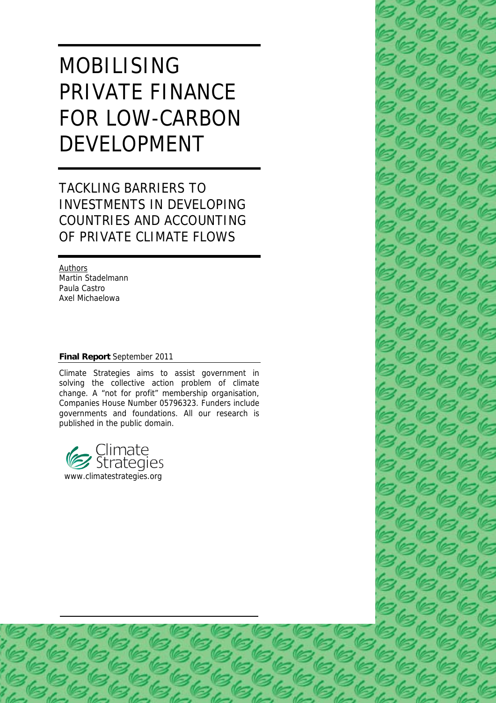# MOBILISING PRIVATE FINANCE FOR LOW-CARBON DEVELOPMENT

# TACKLING BARRIERS TO INVESTMENTS IN DEVELOPING COUNTRIES AND ACCOUNTING OF PRIVATE CLIMATE FLOWS

**Authors** Martin Stadelmann Paula Castro Axel Michaelowa

#### **Final Report** September 2011

Climate Strategies aims to assist government in solving the collective action problem of climate change. A "not for profit" membership organisation, Companies House Number 05796323. Funders include governments and foundations. All our research is published in the public domain.



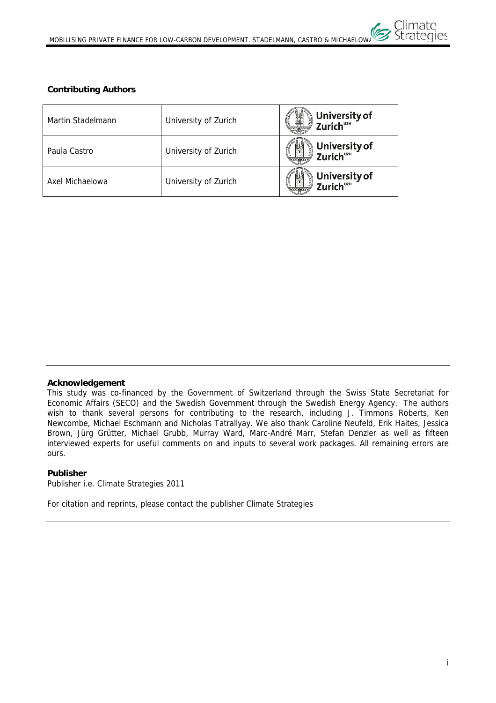# **Contributing Authors**

| Martin Stadelmann | University of Zurich | University of<br>Zurich <sup>uzh</sup><br><b>CALLED</b> |
|-------------------|----------------------|---------------------------------------------------------|
| Paula Castro      | University of Zurich | University of<br>Zurich <sup>uzh</sup>                  |
| Axel Michaelowa   | University of Zurich | University of<br>Zurich <sup>uz</sup> ''                |

#### **Acknowledgement**

This study was co-financed by the Government of Switzerland through the Swiss State Secretariat for Economic Affairs (SECO) and the Swedish Government through the Swedish Energy Agency. The authors wish to thank several persons for contributing to the research, including J. Timmons Roberts, Ken Newcombe, Michael Eschmann and Nicholas Tatrallyay. We also thank Caroline Neufeld, Erik Haites, Jessica Brown, Jürg Grütter, Michael Grubb, Murray Ward, Marc-André Marr, Stefan Denzler as well as fifteen interviewed experts for useful comments on and inputs to several work packages. All remaining errors are ours.

#### **Publisher**

Publisher i.e. Climate Strategies 2011

For citation and reprints, please contact the publisher Climate Strategies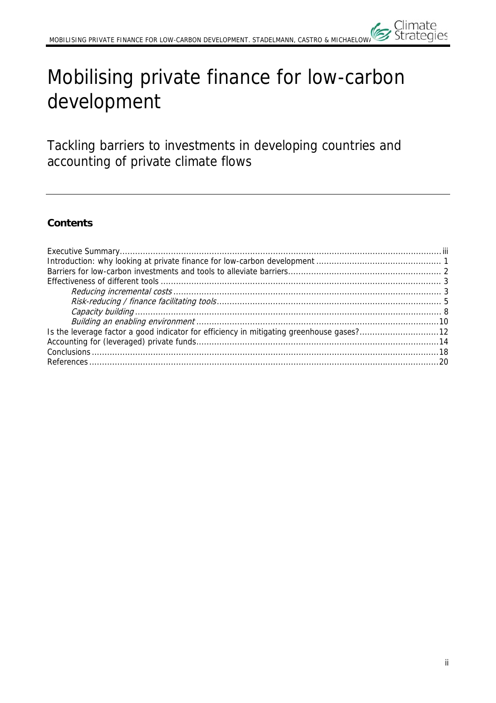# Mobilising private finance for low-carbon development

Tackling barriers to investments in developing countries and accounting of private climate flows

# **Contents**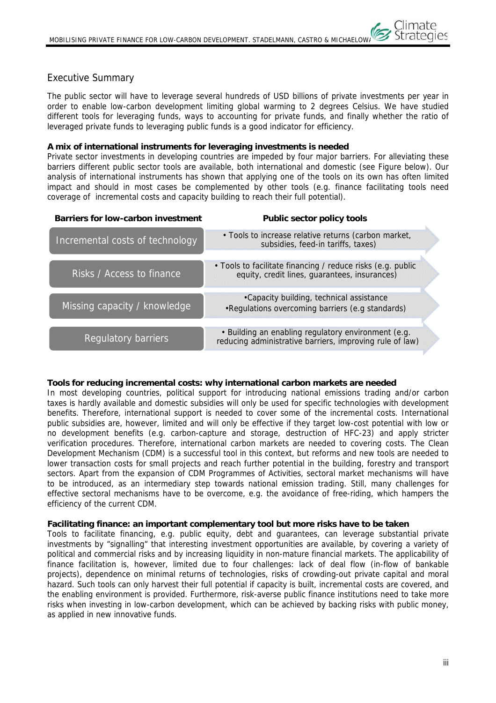# Executive Summary

The public sector will have to leverage several hundreds of USD billions of private investments per year in order to enable low-carbon development limiting global warming to 2 degrees Celsius. We have studied different tools for leveraging funds, ways to accounting for private funds, and finally whether the ratio of leveraged private funds to leveraging public funds is a good indicator for efficiency.

# **A mix of international instruments for leveraging investments is needed**

Private sector investments in developing countries are impeded by four major barriers. For alleviating these barriers different public sector tools are available, both international and domestic (see Figure below). Our analysis of international instruments has shown that applying one of the tools on its own has often limited impact and should in most cases be complemented by other tools (e.g. finance facilitating tools need coverage of incremental costs and capacity building to reach their full potential).

| <b>Barriers for low-carbon investment</b> | Public sector policy tools                                                                                      |
|-------------------------------------------|-----------------------------------------------------------------------------------------------------------------|
| Incremental costs of technology           | . Tools to increase relative returns (carbon market,<br>subsidies, feed-in tariffs, taxes)                      |
| Risks / Access to finance                 | • Tools to facilitate financing / reduce risks (e.g. public<br>equity, credit lines, guarantees, insurances)    |
| Missing capacity / knowledge              | •Capacity building, technical assistance<br>•Regulations overcoming barriers (e.g standards)                    |
| <b>Regulatory barriers</b>                | • Building an enabling regulatory environment (e.g.<br>reducing administrative barriers, improving rule of law) |

# **Tools for reducing incremental costs: why international carbon markets are needed**

In most developing countries, political support for introducing national emissions trading and/or carbon taxes is hardly available and domestic subsidies will only be used for specific technologies with development benefits. Therefore, international support is needed to cover some of the incremental costs. International public subsidies are, however, limited and will only be effective if they target low-cost potential with low or no development benefits (e.g. carbon-capture and storage, destruction of HFC-23) and apply stricter verification procedures. Therefore, international carbon markets are needed to covering costs. The Clean Development Mechanism (CDM) is a successful tool in this context, but reforms and new tools are needed to lower transaction costs for small projects and reach further potential in the building, forestry and transport sectors. Apart from the expansion of CDM Programmes of Activities, sectoral market mechanisms will have to be introduced, as an intermediary step towards national emission trading. Still, many challenges for effective sectoral mechanisms have to be overcome, e.g. the avoidance of free-riding, which hampers the efficiency of the current CDM.

# **Facilitating finance: an important complementary tool but more risks have to be taken**

Tools to facilitate financing, e.g. public equity, debt and guarantees, can leverage substantial private investments by "signalling" that interesting investment opportunities are available, by covering a variety of political and commercial risks and by increasing liquidity in non-mature financial markets. The applicability of finance facilitation is, however, limited due to four challenges: lack of deal flow (in-flow of bankable projects), dependence on minimal returns of technologies, risks of crowding-out private capital and moral hazard. Such tools can only harvest their full potential if capacity is built, incremental costs are covered, and the enabling environment is provided. Furthermore, risk-averse public finance institutions need to take more risks when investing in low-carbon development, which can be achieved by backing risks with public money, as applied in new innovative funds.

Climate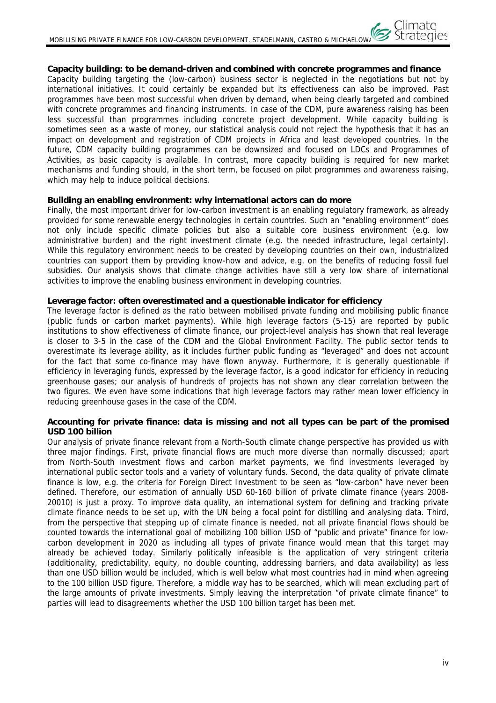**Capacity building: to be demand-driven and combined with concrete programmes and finance** 

Capacity building targeting the (low-carbon) business sector is neglected in the negotiations but not by international initiatives. It could certainly be expanded but its effectiveness can also be improved. Past programmes have been most successful when driven by demand, when being clearly targeted and combined with concrete programmes and financing instruments. In case of the CDM, pure awareness raising has been less successful than programmes including concrete project development. While capacity building is sometimes seen as a waste of money, our statistical analysis could not reject the hypothesis that it has an impact on development and registration of CDM projects in Africa and least developed countries. In the future, CDM capacity building programmes can be downsized and focused on LDCs and Programmes of Activities, as basic capacity is available. In contrast, more capacity building is required for new market mechanisms and funding should, in the short term, be focused on pilot programmes and awareness raising, which may help to induce political decisions.

#### **Building an enabling environment: why international actors can do more**

Finally, the most important driver for low-carbon investment is an enabling regulatory framework, as already provided for some renewable energy technologies in certain countries. Such an "enabling environment" does not only include specific climate policies but also a suitable core business environment (e.g. low administrative burden) and the right investment climate (e.g. the needed infrastructure, legal certainty). While this regulatory environment needs to be created by developing countries on their own, industrialized countries can support them by providing know-how and advice, e.g. on the benefits of reducing fossil fuel subsidies. Our analysis shows that climate change activities have still a very low share of international activities to improve the enabling business environment in developing countries.

#### **Leverage factor: often overestimated and a questionable indicator for efficiency**

The leverage factor is defined as the ratio between mobilised private funding and mobilising public finance (public funds or carbon market payments). While high leverage factors (5-15) are reported by public institutions to show effectiveness of climate finance, our project-level analysis has shown that real leverage is closer to 3-5 in the case of the CDM and the Global Environment Facility. The public sector tends to overestimate its leverage ability, as it includes further public funding as "leveraged" and does not account for the fact that some co-finance may have flown anyway. Furthermore, it is generally questionable if efficiency in leveraging funds, expressed by the leverage factor, is a good indicator for efficiency in reducing greenhouse gases; our analysis of hundreds of projects has not shown any clear correlation between the two figures. We even have some indications that high leverage factors may rather mean lower efficiency in reducing greenhouse gases in the case of the CDM.

#### **Accounting for private finance: data is missing and not all types can be part of the promised USD 100 billion**

Our analysis of private finance relevant from a North-South climate change perspective has provided us with three major findings. First, private financial flows are much more diverse than normally discussed; apart from North-South investment flows and carbon market payments, we find investments leveraged by international public sector tools and a variety of voluntary funds. Second, the data quality of private climate finance is low, e.g. the criteria for Foreign Direct Investment to be seen as "low-carbon" have never been defined. Therefore, our estimation of annually USD 60-160 billion of private climate finance (years 2008- 20010) is just a proxy. To improve data quality, an international system for defining and tracking private climate finance needs to be set up, with the UN being a focal point for distilling and analysing data. Third, from the perspective that stepping up of climate finance is needed, not all private financial flows should be counted towards the international goal of mobilizing 100 billion USD of "public and private" finance for lowcarbon development in 2020 as including all types of private finance would mean that this target may already be achieved today. Similarly politically infeasible is the application of very stringent criteria (additionality, predictability, equity, no double counting, addressing barriers, and data availability) as less than one USD billion would be included, which is well below what most countries had in mind when agreeing to the 100 billion USD figure. Therefore, a middle way has to be searched, which will mean excluding part of the large amounts of private investments. Simply leaving the interpretation "of private climate finance" to parties will lead to disagreements whether the USD 100 billion target has been met.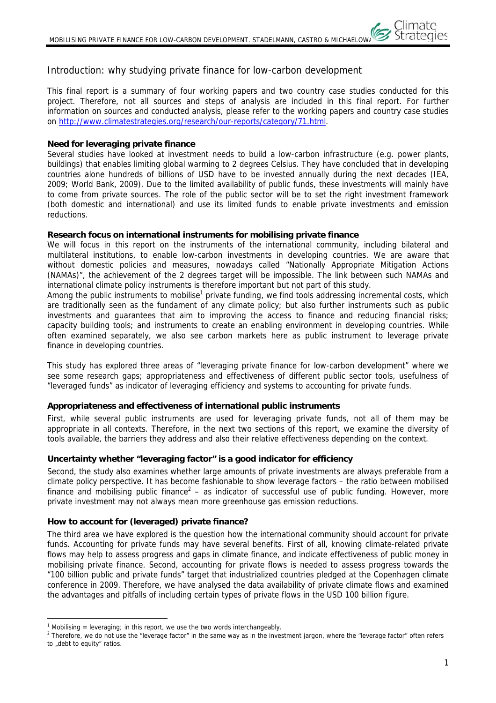# Introduction: why studying private finance for low-carbon development

This final report is a summary of four working papers and two country case studies conducted for this project. Therefore, not all sources and steps of analysis are included in this final report. For further information on sources and conducted analysis, please refer to the working papers and country case studies on http://www.climatestrategies.org/research/our-reports/category/71.html.

#### **Need for leveraging private finance**

Several studies have looked at investment needs to build a low-carbon infrastructure (e.g. power plants, buildings) that enables limiting global warming to 2 degrees Celsius. They have concluded that in developing countries alone hundreds of billions of USD have to be invested annually during the next decades (IEA, 2009; World Bank, 2009). Due to the limited availability of public funds, these investments will mainly have to come from private sources. The role of the public sector will be to set the right investment framework (both domestic and international) and use its limited funds to enable private investments and emission reductions.

#### **Research focus on international instruments for mobilising private finance**

We will focus in this report on the instruments of the international community, including bilateral and multilateral institutions, to enable low-carbon investments in developing countries. We are aware that without domestic policies and measures, nowadays called "Nationally Appropriate Mitigation Actions (NAMAs)", the achievement of the 2 degrees target will be impossible. The link between such NAMAs and international climate policy instruments is therefore important but not part of this study.

Among the public instruments to mobilise<sup>1</sup> private funding, we find tools addressing incremental costs, which are traditionally seen as the fundament of any climate policy; but also further instruments such as public investments and guarantees that aim to improving the access to finance and reducing financial risks; capacity building tools; and instruments to create an enabling environment in developing countries. While often examined separately, we also see carbon markets here as public instrument to leverage private finance in developing countries.

This study has explored three areas of "leveraging private finance for low-carbon development" where we see some research gaps; appropriateness and effectiveness of different public sector tools, usefulness of "leveraged funds" as indicator of leveraging efficiency and systems to accounting for private funds.

#### **Appropriateness and effectiveness of international public instruments**

First, while several public instruments are used for leveraging private funds, not all of them may be appropriate in all contexts. Therefore, in the next two sections of this report, we examine the diversity of tools available, the barriers they address and also their relative effectiveness depending on the context.

# **Uncertainty whether "leveraging factor" is a good indicator for efficiency**

Second, the study also examines whether large amounts of private investments are always preferable from a climate policy perspective. It has become fashionable to show leverage factors – the ratio between mobilised finance and mobilising public finance<sup>2</sup> – as indicator of successful use of public funding. However, more private investment may not always mean more greenhouse gas emission reductions.

#### **How to account for (leveraged) private finance?**

The third area we have explored is the question how the international community should account for private funds. Accounting for private funds may have several benefits. First of all, knowing climate-related private flows may help to assess progress and gaps in climate finance, and indicate effectiveness of public money in mobilising private finance. Second, accounting for private flows is needed to assess progress towards the "100 billion public and private funds" target that industrialized countries pledged at the Copenhagen climate conference in 2009. Therefore, we have analysed the data availability of private climate flows and examined the advantages and pitfalls of including certain types of private flows in the USD 100 billion figure.

 $\overline{a}$ 

<sup>&</sup>lt;sup>1</sup> Mobilising = leveraging; in this report, we use the two words interchangeably.

<sup>&</sup>lt;sup>2</sup> Therefore, we do not use the "leverage factor" in the same way as in the investment jargon, where the "leverage factor" often refers to "debt to equity" ratios.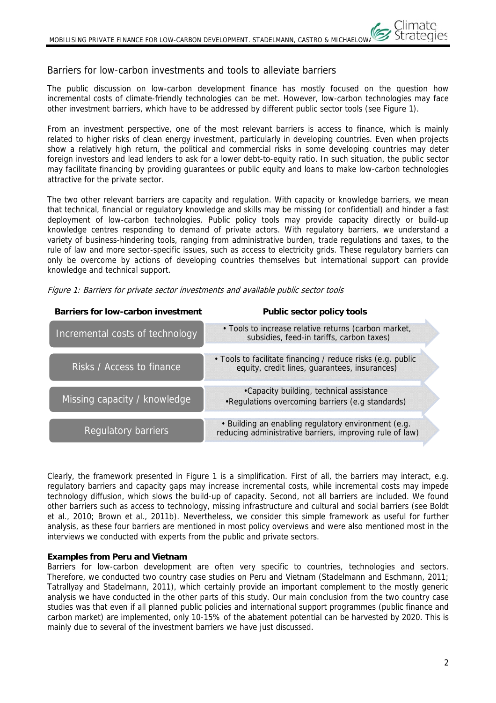# Barriers for low-carbon investments and tools to alleviate barriers

The public discussion on low-carbon development finance has mostly focused on the question how incremental costs of climate-friendly technologies can be met. However, low-carbon technologies may face other investment barriers, which have to be addressed by different public sector tools (see Figure 1).

From an investment perspective, one of the most relevant barriers is access to finance, which is mainly related to higher risks of clean energy investment, particularly in developing countries. Even when projects show a relatively high return, the political and commercial risks in some developing countries may deter foreign investors and lead lenders to ask for a lower debt-to-equity ratio. In such situation, the public sector may facilitate financing by providing guarantees or public equity and loans to make low-carbon technologies attractive for the private sector.

The two other relevant barriers are capacity and regulation. With capacity or knowledge barriers, we mean that technical, financial or regulatory knowledge and skills may be missing (or confidential) and hinder a fast deployment of low-carbon technologies. Public policy tools may provide capacity directly or build-up knowledge centres responding to demand of private actors. With regulatory barriers, we understand a variety of business-hindering tools, ranging from administrative burden, trade regulations and taxes, to the rule of law and more sector-specific issues, such as access to electricity grids. These regulatory barriers can only be overcome by actions of developing countries themselves but international support can provide knowledge and technical support.

| Figure 1: Barriers for private sector investments and available public sector tools |  |  |
|-------------------------------------------------------------------------------------|--|--|
|                                                                                     |  |  |

| <b>Barriers for low-carbon investment</b> | Public sector policy tools                                                                                      |
|-------------------------------------------|-----------------------------------------------------------------------------------------------------------------|
| Incremental costs of technology           | . Tools to increase relative returns (carbon market,<br>subsidies, feed-in tariffs, carbon taxes)               |
| Risks / Access to finance                 | • Tools to facilitate financing / reduce risks (e.g. public<br>equity, credit lines, guarantees, insurances)    |
| Missing capacity / knowledge              | •Capacity building, technical assistance<br>• Regulations overcoming barriers (e.g standards)                   |
| <b>Regulatory barriers</b>                | • Building an enabling regulatory environment (e.g.<br>reducing administrative barriers, improving rule of law) |

Clearly, the framework presented in Figure 1 is a simplification. First of all, the barriers may interact, e.g. regulatory barriers and capacity gaps may increase incremental costs, while incremental costs may impede technology diffusion, which slows the build-up of capacity. Second, not all barriers are included. We found other barriers such as access to technology, missing infrastructure and cultural and social barriers (see Boldt et al., 2010; Brown et al., 2011b). Nevertheless, we consider this simple framework as useful for further analysis, as these four barriers are mentioned in most policy overviews and were also mentioned most in the interviews we conducted with experts from the public and private sectors.

# **Examples from Peru and Vietnam**

Barriers for low-carbon development are often very specific to countries, technologies and sectors. Therefore, we conducted two country case studies on Peru and Vietnam (Stadelmann and Eschmann, 2011; Tatrallyay and Stadelmann, 2011), which certainly provide an important complement to the mostly generic analysis we have conducted in the other parts of this study. Our main conclusion from the two country case studies was that even if all planned public policies and international support programmes (public finance and carbon market) are implemented, only 10-15% of the abatement potential can be harvested by 2020. This is mainly due to several of the investment barriers we have just discussed.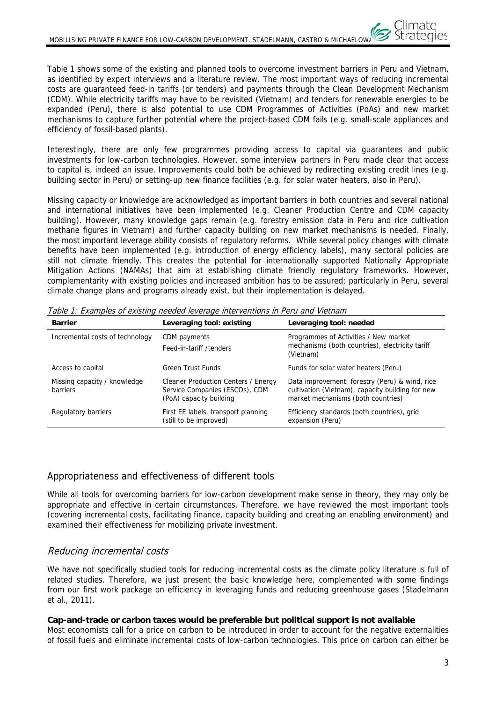Table 1 shows some of the existing and planned tools to overcome investment barriers in Peru and Vietnam, as identified by expert interviews and a literature review. The most important ways of reducing incremental costs are guaranteed feed-in tariffs (or tenders) and payments through the Clean Development Mechanism (CDM). While electricity tariffs may have to be revisited (Vietnam) and tenders for renewable energies to be expanded (Peru), there is also potential to use CDM Programmes of Activities (PoAs) and new market mechanisms to capture further potential where the project-based CDM fails (e.g. small-scale appliances and efficiency of fossil-based plants).

Interestingly, there are only few programmes providing access to capital via guarantees and public investments for low-carbon technologies. However, some interview partners in Peru made clear that access to capital is, indeed an issue. Improvements could both be achieved by redirecting existing credit lines (e.g. building sector in Peru) or setting-up new finance facilities (e.g. for solar water heaters, also in Peru).

Missing capacity or knowledge are acknowledged as important barriers in both countries and several national and international initiatives have been implemented (e.g. Cleaner Production Centre and CDM capacity building). However, many knowledge gaps remain (e.g. forestry emission data in Peru and rice cultivation methane figures in Vietnam) and further capacity building on new market mechanisms is needed. Finally, the most important leverage ability consists of regulatory reforms. While several policy changes with climate benefits have been implemented (e.g. introduction of energy efficiency labels), many sectoral policies are still not climate friendly. This creates the potential for internationally supported Nationally Appropriate Mitigation Actions (NAMAs) that aim at establishing climate friendly regulatory frameworks. However, complementarity with existing policies and increased ambition has to be assured; particularly in Peru, several climate change plans and programs already exist, but their implementation is delayed.

| <b>Barrier</b>                           | Leveraging tool: existing                                                                        | Leveraging tool: needed                                                                                                                  |
|------------------------------------------|--------------------------------------------------------------------------------------------------|------------------------------------------------------------------------------------------------------------------------------------------|
| Incremental costs of technology          | CDM payments<br>Feed-in-tariff /tenders                                                          | Programmes of Activities / New market<br>mechanisms (both countries), electricity tariff<br>(Vietnam)                                    |
| Access to capital                        | Green Trust Funds                                                                                | Funds for solar water heaters (Peru)                                                                                                     |
| Missing capacity / knowledge<br>barriers | Cleaner Production Centers / Energy<br>Service Companies (ESCOs), CDM<br>(PoA) capacity building | Data improvement: forestry (Peru) & wind, rice<br>cultivation (Vietnam), capacity building for new<br>market mechanisms (both countries) |
| Regulatory barriers                      | First EE labels, transport planning<br>(still to be improved)                                    | Efficiency standards (both countries), grid<br>expansion (Peru)                                                                          |

Table 1: Examples of existing needed leverage interventions in Peru and Vietnam

# Appropriateness and effectiveness of different tools

While all tools for overcoming barriers for low-carbon development make sense in theory, they may only be appropriate and effective in certain circumstances. Therefore, we have reviewed the most important tools (covering incremental costs, facilitating finance, capacity building and creating an enabling environment) and examined their effectiveness for mobilizing private investment.

# Reducing incremental costs

We have not specifically studied tools for reducing incremental costs as the climate policy literature is full of related studies. Therefore, we just present the basic knowledge here, complemented with some findings from our first work package on efficiency in leveraging funds and reducing greenhouse gases (Stadelmann et al., 2011).

# **Cap-and-trade or carbon taxes would be preferable but political support is not available**

Most economists call for a price on carbon to be introduced in order to account for the negative externalities of fossil fuels and eliminate incremental costs of low-carbon technologies. This price on carbon can either be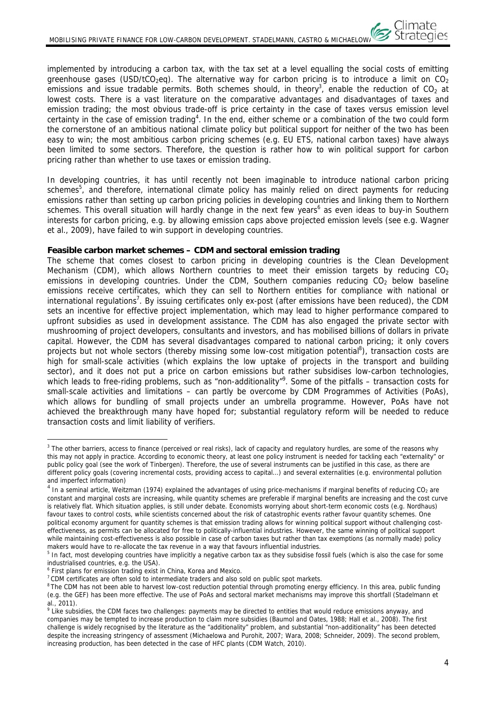implemented by introducing a carbon tax, with the tax set at a level equalling the social costs of emitting greenhouse gases (USD/tCO<sub>2</sub>eg). The alternative way for carbon pricing is to introduce a limit on CO<sub>2</sub> emissions and issue tradable permits. Both schemes should, in theory<sup>3</sup>, enable the reduction of CO<sub>2</sub> at lowest costs. There is a vast literature on the comparative advantages and disadvantages of taxes and emission trading; the most obvious trade-off is price certainty in the case of taxes versus emission level certainty in the case of emission trading<sup>4</sup>. In the end, either scheme or a combination of the two could form the cornerstone of an ambitious national climate policy but political support for neither of the two has been easy to win; the most ambitious carbon pricing schemes (e.g. EU ETS, national carbon taxes) have always been limited to some sectors. Therefore, the question is rather how to win political support for carbon pricing rather than whether to use taxes or emission trading.

In developing countries, it has until recently not been imaginable to introduce national carbon pricing schemes<sup>5</sup>, and therefore, international climate policy has mainly relied on direct payments for reducing emissions rather than setting up carbon pricing policies in developing countries and linking them to Northern schemes. This overall situation will hardly change in the next few years<sup>6</sup> as even ideas to buy-in Southern interests for carbon pricing, e.g. by allowing emission caps above projected emission levels (see e.g. Wagner et al., 2009), have failed to win support in developing countries.

#### **Feasible carbon market schemes – CDM and sectoral emission trading**

The scheme that comes closest to carbon pricing in developing countries is the Clean Development Mechanism (CDM), which allows Northern countries to meet their emission targets by reducing  $CO<sub>2</sub>$ emissions in developing countries. Under the CDM, Southern companies reducing  $CO<sub>2</sub>$  below baseline emissions receive certificates, which they can sell to Northern entities for compliance with national or international regulations<sup>7</sup>. By issuing certificates only ex-post (after emissions have been reduced), the CDM sets an incentive for effective project implementation, which may lead to higher performance compared to upfront subsidies as used in development assistance. The CDM has also engaged the private sector with mushrooming of project developers, consultants and investors, and has mobilised billions of dollars in private capital. However, the CDM has several disadvantages compared to national carbon pricing; it only covers projects but not whole sectors (thereby missing some low-cost mitigation potential<sup>8</sup>), transaction costs are high for small-scale activities (which explains the low uptake of projects in the transport and building sector), and it does not put a price on carbon emissions but rather subsidises low-carbon technologies, which leads to free-riding problems, such as "non-additionality"<sup>9</sup>. Some of the pitfalls – transaction costs for small-scale activities and limitations – can partly be overcome by CDM Programmes of Activities (PoAs), which allows for bundling of small projects under an umbrella programme. However, PoAs have not achieved the breakthrough many have hoped for; substantial regulatory reform will be needed to reduce transaction costs and limit liability of verifiers.

<sup>6</sup> First plans for emission trading exist in China, Korea and Mexico.

 $\overline{a}$ 

<sup>&</sup>lt;sup>3</sup> The other barriers, access to finance (perceived or real risks), lack of capacity and regulatory hurdles, are some of the reasons why this may not apply in practice. According to economic theory, at least one policy instrument is needed for tackling each "externality" or public policy goal (see the work of Tinbergen). Therefore, the use of several instruments can be justified in this case, as there are different policy goals (covering incremental costs, providing access to capital...) and several externalities (e.g. environmental pollution and imperfect information)

 $4$  In a seminal article, Weitzman (1974) explained the advantages of using price-mechanisms if marginal benefits of reducing CO<sub>2</sub> are constant and marginal costs are increasing, while quantity schemes are preferable if marginal benefits are increasing and the cost curve is relatively flat. Which situation applies, is still under debate. Economists worrying about short-term economic costs (e.g. Nordhaus) favour taxes to control costs, while scientists concerned about the risk of catastrophic events rather favour quantity schemes. One political economy argument for quantity schemes is that emission trading allows for winning political support without challenging costeffectiveness, as permits can be allocated for free to politically-influential industries. However, the same winning of political support while maintaining cost-effectiveness is also possible in case of carbon taxes but rather than tax exemptions (as normally made) policy makers would have to re-allocate the tax revenue in a way that favours influential industries.

<sup>&</sup>lt;sup>5</sup> In fact, most developing countries have implicitly a negative carbon tax as they subsidise fossil fuels (which is also the case for some industrialised countries, e.g. the USA).

 $7$  CDM certificates are often sold to intermediate traders and also sold on public spot markets.

<sup>&</sup>lt;sup>8</sup> The CDM has not been able to harvest low-cost reduction potential through promoting energy efficiency. In this area, public funding (e.g. the GEF) has been more effective. The use of PoAs and sectoral market mechanisms may improve this shortfall (Stadelmann et al.  $2011$ 

<sup>&</sup>lt;sup>9</sup> Like subsidies, the CDM faces two challenges: payments may be directed to entities that would reduce emissions anyway, and companies may be tempted to increase production to claim more subsidies (Baumol and Oates, 1988; Hall et al., 2008). The first challenge is widely recognised by the literature as the "additionality" problem, and substantial "non-additionality" has been detected despite the increasing stringency of assessment (Michaelowa and Purohit, 2007; Wara, 2008; Schneider, 2009). The second problem, increasing production, has been detected in the case of HFC plants (CDM Watch, 2010).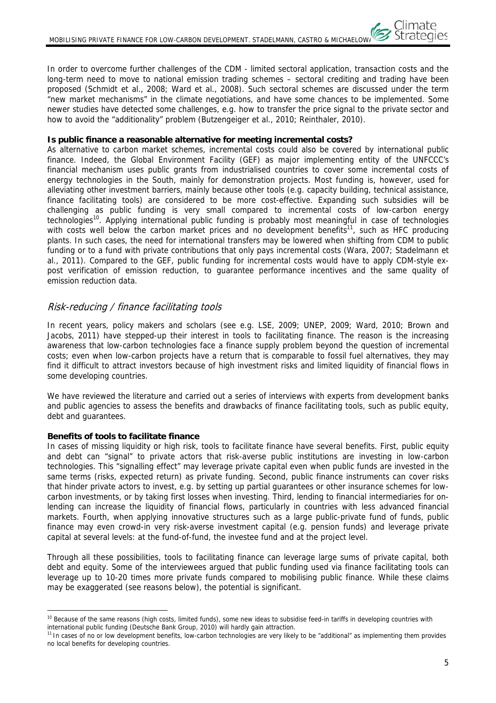In order to overcome further challenges of the CDM - limited sectoral application, transaction costs and the long-term need to move to national emission trading schemes – sectoral crediting and trading have been proposed (Schmidt et al., 2008; Ward et al., 2008). Such sectoral schemes are discussed under the term "new market mechanisms" in the climate negotiations, and have some chances to be implemented. Some newer studies have detected some challenges, e.g. how to transfer the price signal to the private sector and how to avoid the "additionality" problem (Butzengeiger et al., 2010; Reinthaler, 2010).

#### **Is public finance a reasonable alternative for meeting incremental costs?**

As alternative to carbon market schemes, incremental costs could also be covered by international public finance. Indeed, the Global Environment Facility (GEF) as major implementing entity of the UNFCCC's financial mechanism uses public grants from industrialised countries to cover some incremental costs of energy technologies in the South, mainly for demonstration projects. Most funding is, however, used for alleviating other investment barriers, mainly because other tools (e.g. capacity building, technical assistance, finance facilitating tools) are considered to be more cost-effective. Expanding such subsidies will be challenging as public funding is very small compared to incremental costs of low-carbon energy technologies<sup>10</sup>. Applying international public funding is probably most meaningful in case of technologies with costs well below the carbon market prices and no development benefits<sup>11</sup>, such as HFC producing plants. In such cases, the need for international transfers may be lowered when shifting from CDM to public funding or to a fund with private contributions that only pays incremental costs (Wara, 2007; Stadelmann et al., 2011). Compared to the GEF, public funding for incremental costs would have to apply CDM-style expost verification of emission reduction, to guarantee performance incentives and the same quality of emission reduction data.

# Risk-reducing / finance facilitating tools

In recent years, policy makers and scholars (see e.g. LSE, 2009; UNEP, 2009; Ward, 2010; Brown and Jacobs, 2011) have stepped-up their interest in tools to facilitating finance. The reason is the increasing awareness that low-carbon technologies face a finance supply problem beyond the question of incremental costs; even when low-carbon projects have a return that is comparable to fossil fuel alternatives, they may find it difficult to attract investors because of high investment risks and limited liquidity of financial flows in some developing countries.

We have reviewed the literature and carried out a series of interviews with experts from development banks and public agencies to assess the benefits and drawbacks of finance facilitating tools, such as public equity, debt and guarantees.

# **Benefits of tools to facilitate finance**

In cases of missing liquidity or high risk, tools to facilitate finance have several benefits. First, public equity and debt can "signal" to private actors that risk-averse public institutions are investing in low-carbon technologies. This "signalling effect" may leverage private capital even when public funds are invested in the same terms (risks, expected return) as private funding. Second, public finance instruments can cover risks that hinder private actors to invest, e.g. by setting up partial guarantees or other insurance schemes for lowcarbon investments, or by taking first losses when investing. Third, lending to financial intermediaries for onlending can increase the liquidity of financial flows, particularly in countries with less advanced financial markets. Fourth, when applying innovative structures such as a large public-private fund of funds, public finance may even crowd-in very risk-averse investment capital (e.g. pension funds) and leverage private capital at several levels: at the fund-of-fund, the investee fund and at the project level.

Through all these possibilities, tools to facilitating finance can leverage large sums of private capital, both debt and equity. Some of the interviewees argued that public funding used via finance facilitating tools can leverage up to 10-20 times more private funds compared to mobilising public finance. While these claims may be exaggerated (see reasons below), the potential is significant.

 $\overline{a}$ <sup>10</sup> Because of the same reasons (high costs, limited funds), some new ideas to subsidise feed-in tariffs in developing countries with international public funding (Deutsche Bank Group, 2010) will hardly gain attraction.

<sup>&</sup>lt;sup>11</sup> In cases of no or low development benefits, low-carbon technologies are very likely to be "additional" as implementing them provides no local benefits for developing countries.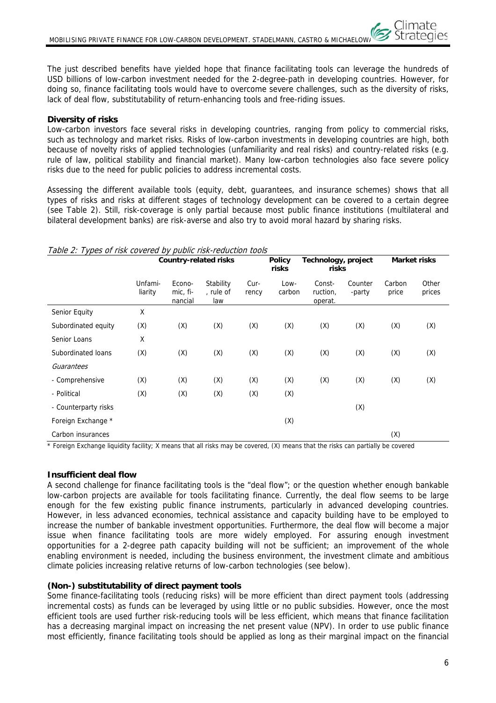The just described benefits have yielded hope that finance facilitating tools can leverage the hundreds of USD billions of low-carbon investment needed for the 2-degree-path in developing countries. However, for doing so, finance facilitating tools would have to overcome severe challenges, such as the diversity of risks, lack of deal flow, substitutability of return-enhancing tools and free-riding issues.

# **Diversity of risks**

Low-carbon investors face several risks in developing countries, ranging from policy to commercial risks, such as technology and market risks. Risks of low-carbon investments in developing countries are high, both because of novelty risks of applied technologies (unfamiliarity and real risks) and country-related risks (e.g. rule of law, political stability and financial market). Many low-carbon technologies also face severe policy risks due to the need for public policies to address incremental costs.

Assessing the different available tools (equity, debt, guarantees, and insurance schemes) shows that all types of risks and risks at different stages of technology development can be covered to a certain degree (see Table 2). Still, risk-coverage is only partial because most public finance institutions (multilateral and bilateral development banks) are risk-averse and also try to avoid moral hazard by sharing risks.

| rabic z. Types of Hsk covered by pablic Hsk-reddetion tools | <b>Country-related risks</b> |                               |                               | <b>Policy</b><br>risks | Technology, project<br>risks | Market risks                  |                   |                 |                 |
|-------------------------------------------------------------|------------------------------|-------------------------------|-------------------------------|------------------------|------------------------------|-------------------------------|-------------------|-----------------|-----------------|
|                                                             | Unfami-<br>liarity           | Econo-<br>mic, fi-<br>nancial | Stability<br>, rule of<br>law | Cur-<br>rency          | Low-<br>carbon               | Const-<br>ruction,<br>operat. | Counter<br>-party | Carbon<br>price | Other<br>prices |
| Senior Equity                                               | Χ                            |                               |                               |                        |                              |                               |                   |                 |                 |
| Subordinated equity                                         | (X)                          | (X)                           | (X)                           | (X)                    | (X)                          | (X)                           | (X)               | (X)             | (X)             |
| Senior Loans                                                | X                            |                               |                               |                        |                              |                               |                   |                 |                 |
| Subordinated loans                                          | (X)                          | (X)                           | (X)                           | (X)                    | (X)                          | (X)                           | (X)               | (X)             | (X)             |
| Guarantees                                                  |                              |                               |                               |                        |                              |                               |                   |                 |                 |
| - Comprehensive                                             | (X)                          | (X)                           | (X)                           | (X)                    | (X)                          | (X)                           | (X)               | (X)             | (X)             |
| - Political                                                 | (X)                          | (X)                           | (X)                           | (X)                    | (X)                          |                               |                   |                 |                 |
| - Counterparty risks                                        |                              |                               |                               |                        |                              |                               | (X)               |                 |                 |
| Foreign Exchange *                                          |                              |                               |                               |                        | (X)                          |                               |                   |                 |                 |
| Carbon insurances                                           |                              |                               |                               |                        |                              |                               |                   | (X)             |                 |

#### Table 2: Types of risk covered by public risk-reduction tools

\* Foreign Exchange liquidity facility; X means that all risks may be covered, (X) means that the risks can partially be covered

# **Insufficient deal flow**

A second challenge for finance facilitating tools is the "deal flow"; or the question whether enough bankable low-carbon projects are available for tools facilitating finance. Currently, the deal flow seems to be large enough for the few existing public finance instruments, particularly in advanced developing countries. However, in less advanced economies, technical assistance and capacity building have to be employed to increase the number of bankable investment opportunities. Furthermore, the deal flow will become a major issue when finance facilitating tools are more widely employed. For assuring enough investment opportunities for a 2-degree path capacity building will not be sufficient; an improvement of the whole enabling environment is needed, including the business environment, the investment climate and ambitious climate policies increasing relative returns of low-carbon technologies (see below).

# **(Non-) substitutability of direct payment tools**

Some finance-facilitating tools (reducing risks) will be more efficient than direct payment tools (addressing incremental costs) as funds can be leveraged by using little or no public subsidies. However, once the most efficient tools are used further risk-reducing tools will be less efficient, which means that finance facilitation has a decreasing marginal impact on increasing the net present value (NPV). In order to use public finance most efficiently, finance facilitating tools should be applied as long as their marginal impact on the financial

:limate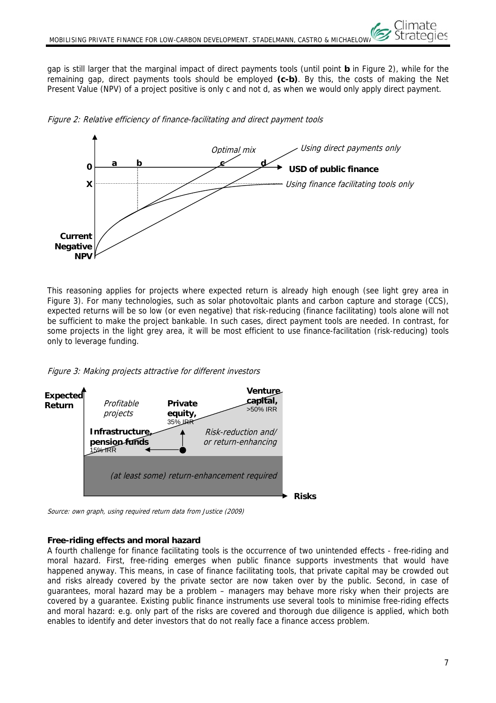gap is still larger that the marginal impact of direct payments tools (until point **b** in Figure 2), while for the remaining gap, direct payments tools should be employed **(c-b)**. By this, the costs of making the Net Present Value (NPV) of a project positive is only c and not d, as when we would only apply direct payment.



Figure 2: Relative efficiency of finance-facilitating and direct payment tools

This reasoning applies for projects where expected return is already high enough (see light grey area in Figure 3). For many technologies, such as solar photovoltaic plants and carbon capture and storage (CCS), expected returns will be so low (or even negative) that risk-reducing (finance facilitating) tools alone will not be sufficient to make the project bankable. In such cases, direct payment tools are needed. In contrast, for some projects in the light grey area, it will be most efficient to use finance-facilitation (risk-reducing) tools only to leverage funding.





Source: own graph, using required return data from Justice (2009)

# **Free-riding effects and moral hazard**

A fourth challenge for finance facilitating tools is the occurrence of two unintended effects - free-riding and moral hazard. First, free-riding emerges when public finance supports investments that would have happened anyway. This means, in case of finance facilitating tools, that private capital may be crowded out and risks already covered by the private sector are now taken over by the public. Second, in case of guarantees, moral hazard may be a problem – managers may behave more risky when their projects are covered by a guarantee. Existing public finance instruments use several tools to minimise free-riding effects and moral hazard: e.g. only part of the risks are covered and thorough due diligence is applied, which both enables to identify and deter investors that do not really face a finance access problem.

Climate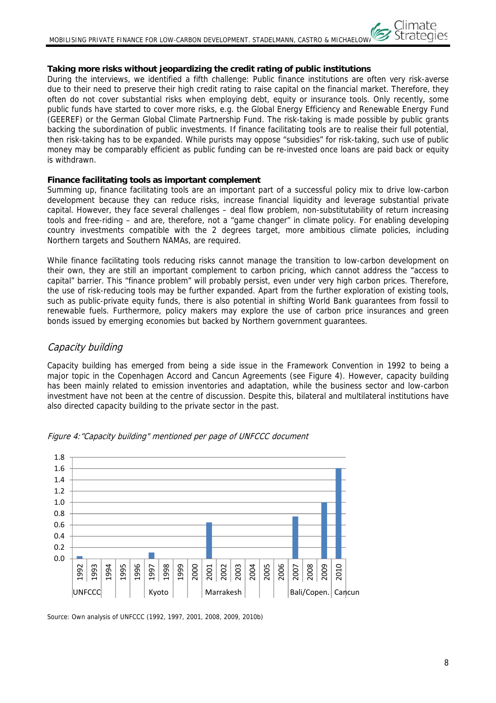# **Taking more risks without jeopardizing the credit rating of public institutions**

During the interviews, we identified a fifth challenge: Public finance institutions are often very risk-averse due to their need to preserve their high credit rating to raise capital on the financial market. Therefore, they often do not cover substantial risks when employing debt, equity or insurance tools. Only recently, some public funds have started to cover more risks, e.g. the Global Energy Efficiency and Renewable Energy Fund (GEEREF) or the German Global Climate Partnership Fund. The risk-taking is made possible by public grants backing the subordination of public investments. If finance facilitating tools are to realise their full potential, then risk-taking has to be expanded. While purists may oppose "subsidies" for risk-taking, such use of public money may be comparably efficient as public funding can be re-invested once loans are paid back or equity is withdrawn.

### **Finance facilitating tools as important complement**

Summing up, finance facilitating tools are an important part of a successful policy mix to drive low-carbon development because they can reduce risks, increase financial liquidity and leverage substantial private capital. However, they face several challenges – deal flow problem, non-substitutability of return increasing tools and free-riding – and are, therefore, not a "game changer" in climate policy. For enabling developing country investments compatible with the 2 degrees target, more ambitious climate policies, including Northern targets and Southern NAMAs, are required.

While finance facilitating tools reducing risks cannot manage the transition to low-carbon development on their own, they are still an important complement to carbon pricing, which cannot address the "access to capital" barrier. This "finance problem" will probably persist, even under very high carbon prices. Therefore, the use of risk-reducing tools may be further expanded. Apart from the further exploration of existing tools, such as public-private equity funds, there is also potential in shifting World Bank guarantees from fossil to renewable fuels. Furthermore, policy makers may explore the use of carbon price insurances and green bonds issued by emerging economies but backed by Northern government guarantees.

# Capacity building

Capacity building has emerged from being a side issue in the Framework Convention in 1992 to being a major topic in the Copenhagen Accord and Cancun Agreements (see Figure 4). However, capacity building has been mainly related to emission inventories and adaptation, while the business sector and low-carbon investment have not been at the centre of discussion. Despite this, bilateral and multilateral institutions have also directed capacity building to the private sector in the past.





Source: Own analysis of UNFCCC (1992, 1997, 2001, 2008, 2009, 2010b)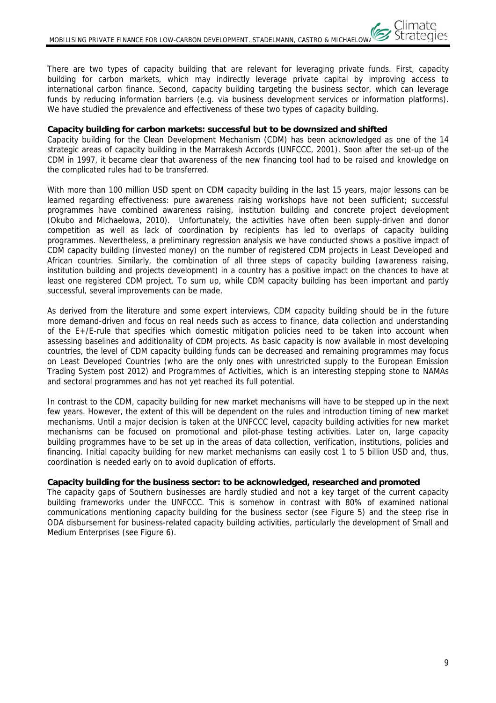There are two types of capacity building that are relevant for leveraging private funds. First, capacity building for carbon markets, which may indirectly leverage private capital by improving access to international carbon finance. Second, capacity building targeting the business sector, which can leverage funds by reducing information barriers (e.g. via business development services or information platforms). We have studied the prevalence and effectiveness of these two types of capacity building.

### **Capacity building for carbon markets: successful but to be downsized and shifted**

Capacity building for the Clean Development Mechanism (CDM) has been acknowledged as one of the 14 strategic areas of capacity building in the Marrakesh Accords (UNFCCC, 2001). Soon after the set-up of the CDM in 1997, it became clear that awareness of the new financing tool had to be raised and knowledge on the complicated rules had to be transferred.

With more than 100 million USD spent on CDM capacity building in the last 15 years, major lessons can be learned regarding effectiveness: pure awareness raising workshops have not been sufficient; successful programmes have combined awareness raising, institution building and concrete project development (Okubo and Michaelowa, 2010). Unfortunately, the activities have often been supply-driven and donor competition as well as lack of coordination by recipients has led to overlaps of capacity building programmes. Nevertheless, a preliminary regression analysis we have conducted shows a positive impact of CDM capacity building (invested money) on the number of registered CDM projects in Least Developed and African countries. Similarly, the combination of all three steps of capacity building (awareness raising, institution building and projects development) in a country has a positive impact on the chances to have at least one registered CDM project. To sum up, while CDM capacity building has been important and partly successful, several improvements can be made.

As derived from the literature and some expert interviews, CDM capacity building should be in the future more demand-driven and focus on real needs such as access to finance, data collection and understanding of the E+/E-rule that specifies which domestic mitigation policies need to be taken into account when assessing baselines and additionality of CDM projects. As basic capacity is now available in most developing countries, the level of CDM capacity building funds can be decreased and remaining programmes may focus on Least Developed Countries (who are the only ones with unrestricted supply to the European Emission Trading System post 2012) and Programmes of Activities, which is an interesting stepping stone to NAMAs and sectoral programmes and has not yet reached its full potential.

In contrast to the CDM, capacity building for new market mechanisms will have to be stepped up in the next few years. However, the extent of this will be dependent on the rules and introduction timing of new market mechanisms. Until a major decision is taken at the UNFCCC level, capacity building activities for new market mechanisms can be focused on promotional and pilot-phase testing activities. Later on, large capacity building programmes have to be set up in the areas of data collection, verification, institutions, policies and financing. Initial capacity building for new market mechanisms can easily cost 1 to 5 billion USD and, thus, coordination is needed early on to avoid duplication of efforts.

#### **Capacity building for the business sector: to be acknowledged, researched and promoted**

The capacity gaps of Southern businesses are hardly studied and not a key target of the current capacity building frameworks under the UNFCCC. This is somehow in contrast with 80% of examined national communications mentioning capacity building for the business sector (see Figure 5) and the steep rise in ODA disbursement for business-related capacity building activities, particularly the development of Small and Medium Enterprises (see Figure 6).

Climate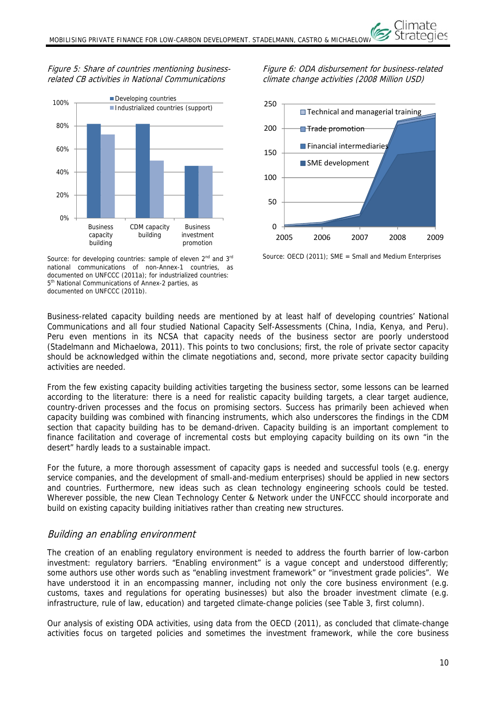# Figure 5: Share of countries mentioning businessrelated CB activities in National Communications



Source: for developing countries: sample of eleven 2<sup>nd</sup> and 3<sup>rd</sup> national communications of non-Annex-1 countries, as documented on UNFCCC (2011a); for industrialized countries: 5<sup>th</sup> National Communications of Annex-2 parties, as documented on UNFCCC (2011b).

Figure 6: ODA disbursement for business-related climate change activities (2008 Million USD)

Climate



Source: OECD (2011); SME = Small and Medium Enterprises

Business-related capacity building needs are mentioned by at least half of developing countries' National Communications and all four studied National Capacity Self-Assessments (China, India, Kenya, and Peru). Peru even mentions in its NCSA that capacity needs of the business sector are poorly understood (Stadelmann and Michaelowa, 2011). This points to two conclusions; first, the role of private sector capacity should be acknowledged within the climate negotiations and, second, more private sector capacity building activities are needed.

From the few existing capacity building activities targeting the business sector, some lessons can be learned according to the literature: there is a need for realistic capacity building targets, a clear target audience, country-driven processes and the focus on promising sectors. Success has primarily been achieved when capacity building was combined with financing instruments, which also underscores the findings in the CDM section that capacity building has to be demand-driven. Capacity building is an important complement to finance facilitation and coverage of incremental costs but employing capacity building on its own "in the desert" hardly leads to a sustainable impact.

For the future, a more thorough assessment of capacity gaps is needed and successful tools (e.g. energy service companies, and the development of small-and-medium enterprises) should be applied in new sectors and countries. Furthermore, new ideas such as clean technology engineering schools could be tested. Wherever possible, the new Clean Technology Center & Network under the UNFCCC should incorporate and build on existing capacity building initiatives rather than creating new structures.

# Building an enabling environment

The creation of an enabling regulatory environment is needed to address the fourth barrier of low-carbon investment: regulatory barriers. "Enabling environment" is a vague concept and understood differently; some authors use other words such as "enabling investment framework" or "investment grade policies". We have understood it in an encompassing manner, including not only the core business environment (e.g. customs, taxes and regulations for operating businesses) but also the broader investment climate (e.g. infrastructure, rule of law, education) and targeted climate-change policies (see Table 3, first column).

Our analysis of existing ODA activities, using data from the OECD (2011), as concluded that climate-change activities focus on targeted policies and sometimes the investment framework, while the core business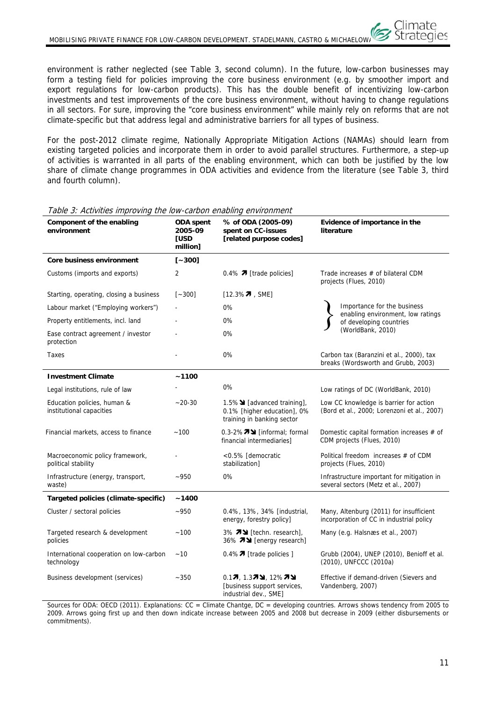environment is rather neglected (see Table 3, second column). In the future, low-carbon businesses may form a testing field for policies improving the core business environment (e.g. by smoother import and export regulations for low-carbon products). This has the double benefit of incentivizing low-carbon investments and test improvements of the core business environment, without having to change regulations in all sectors. For sure, improving the "core business environment" while mainly rely on reforms that are not climate-specific but that address legal and administrative barriers for all types of business.

For the post-2012 climate regime, Nationally Appropriate Mitigation Actions (NAMAs) should learn from existing targeted policies and incorporate them in order to avoid parallel structures. Furthermore, a step-up of activities is warranted in all parts of the enabling environment, which can both be justified by the low share of climate change programmes in ODA activities and evidence from the literature (see Table 3, third and fourth column).

| Component of the enabling<br>environment                | ODA spent<br>2005-09<br><b>TUSD</b><br>million] | % of ODA (2005-09)<br>spent on CC-issues<br>[related purpose codes]                      | Evidence of importance in the<br>literature                                           |  |  |
|---------------------------------------------------------|-------------------------------------------------|------------------------------------------------------------------------------------------|---------------------------------------------------------------------------------------|--|--|
| Core business environment                               | $[-300]$                                        |                                                                                          |                                                                                       |  |  |
| Customs (imports and exports)                           | 2                                               | 0.4% $\pi$ [trade policies]                                                              | Trade increases # of bilateral CDM<br>projects (Flues, 2010)                          |  |  |
| Starting, operating, closing a business                 | $[-300]$                                        | [12.3% $7$ , SME]                                                                        |                                                                                       |  |  |
| Labour market ("Employing workers")                     |                                                 | 0%                                                                                       | Importance for the business<br>enabling environment, low ratings                      |  |  |
| Property entitlements, incl. land                       |                                                 | 0%                                                                                       | of developing countries                                                               |  |  |
| Ease contract agreement / investor<br>protection        |                                                 | 0%                                                                                       | (WorldBank, 2010)                                                                     |  |  |
| Taxes                                                   |                                                 | $0\%$                                                                                    | Carbon tax (Baranzini et al., 2000), tax<br>breaks (Wordsworth and Grubb, 2003)       |  |  |
| <b>Investment Climate</b>                               | ~1100                                           |                                                                                          |                                                                                       |  |  |
| Legal institutions, rule of law                         |                                                 | $0\%$                                                                                    | Low ratings of DC (WorldBank, 2010)                                                   |  |  |
| Education policies, human &<br>institutional capacities | $~20-30$                                        | 1.5% > [advanced training],<br>0.1% [higher education], 0%<br>training in banking sector | Low CC knowledge is barrier for action<br>(Bord et al., 2000; Lorenzoni et al., 2007) |  |  |
| Financial markets, access to finance                    | ~100                                            | 0.3-2%71 [informal; formal<br>financial intermediaries]                                  | Domestic capital formation increases # of<br>CDM projects (Flues, 2010)               |  |  |
| Macroeconomic policy framework,<br>political stability  |                                                 | <0.5% [democratic<br>stabilization]                                                      | Political freedom increases # of CDM<br>projects (Flues, 2010)                        |  |  |
| Infrastructure (energy, transport,<br>waste)            | $-950$                                          | $0\%$                                                                                    | Infrastructure important for mitigation in<br>several sectors (Metz et al., 2007)     |  |  |
| Targeted policies (climate-specific)                    | ~1400                                           |                                                                                          |                                                                                       |  |  |
| Cluster / sectoral policies                             | $-950$                                          | 0.4%, 13%, 34% [industrial,<br>energy, forestry policy]                                  | Many, Altenburg (2011) for insufficient<br>incorporation of CC in industrial policy   |  |  |
| Targeted research & development<br>policies             | $-100$                                          | 3% 79 [techn. research],<br>36% 79 [energy research]                                     | Many (e.g. Halsnæs et al., 2007)                                                      |  |  |
| International cooperation on low-carbon<br>technology   | $-10$                                           | 0.4% $\pi$ [trade policies ]                                                             | Grubb (2004), UNEP (2010), Benioff et al.<br>(2010), UNFCCC (2010a)                   |  |  |
| Business development (services)                         | $-350$                                          | 0.17, 1.37¥, 12%7¥<br>[business support services,<br>industrial dev., SME]               | Effective if demand-driven (Sievers and<br>Vandenberg, 2007)                          |  |  |

Table 3: Activities improving the low-carbon enabling environment

Sources for ODA: OECD (2011). Explanations: CC = Climate Chantge, DC = developing countries. Arrows shows tendency from 2005 to 2009. Arrows going first up and then down indicate increase between 2005 and 2008 but decrease in 2009 (either disbursements or commitments).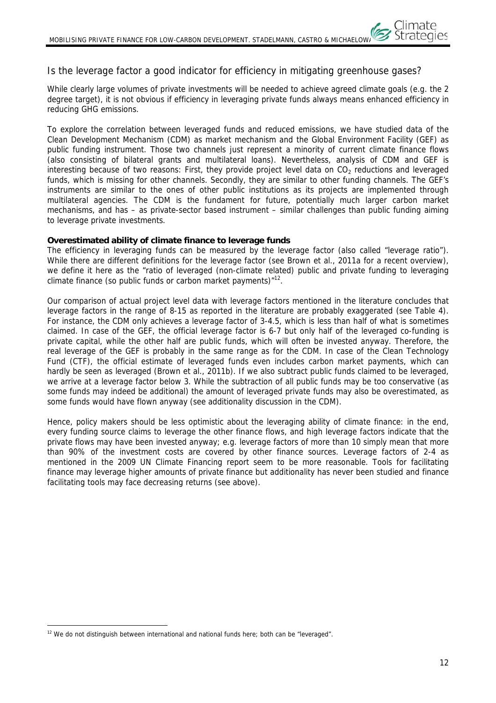# Is the leverage factor a good indicator for efficiency in mitigating greenhouse gases?

While clearly large volumes of private investments will be needed to achieve agreed climate goals (e.g. the 2 degree target), it is not obvious if efficiency in leveraging private funds always means enhanced efficiency in reducing GHG emissions.

To explore the correlation between leveraged funds and reduced emissions, we have studied data of the Clean Development Mechanism (CDM) as market mechanism and the Global Environment Facility (GEF) as public funding instrument. Those two channels just represent a minority of current climate finance flows (also consisting of bilateral grants and multilateral loans). Nevertheless, analysis of CDM and GEF is interesting because of two reasons: First, they provide project level data on  $CO<sub>2</sub>$  reductions and leveraged funds, which is missing for other channels. Secondly, they are similar to other funding channels. The GEF's instruments are similar to the ones of other public institutions as its projects are implemented through multilateral agencies. The CDM is the fundament for future, potentially much larger carbon market mechanisms, and has – as private-sector based instrument – similar challenges than public funding aiming to leverage private investments.

# **Overestimated ability of climate finance to leverage funds**

The efficiency in leveraging funds can be measured by the leverage factor (also called "leverage ratio"). While there are different definitions for the leverage factor (see Brown et al., 2011a for a recent overview), we define it here as the "ratio of leveraged (non-climate related) public and private funding to leveraging climate finance (so public funds or carbon market payments)<sup>"12</sup>.

Our comparison of actual project level data with leverage factors mentioned in the literature concludes that leverage factors in the range of 8-15 as reported in the literature are probably exaggerated (see Table 4). For instance, the CDM only achieves a leverage factor of 3-4.5, which is less than half of what is sometimes claimed. In case of the GEF, the official leverage factor is 6-7 but only half of the leveraged co-funding is private capital, while the other half are public funds, which will often be invested anyway. Therefore, the real leverage of the GEF is probably in the same range as for the CDM. In case of the Clean Technology Fund (CTF), the official estimate of leveraged funds even includes carbon market payments, which can hardly be seen as leveraged (Brown et al., 2011b). If we also subtract public funds claimed to be leveraged, we arrive at a leverage factor below 3. While the subtraction of all public funds may be too conservative (as some funds may indeed be additional) the amount of leveraged private funds may also be overestimated, as some funds would have flown anyway (see additionality discussion in the CDM).

Hence, policy makers should be less optimistic about the leveraging ability of climate finance: in the end, every funding source claims to leverage the other finance flows, and high leverage factors indicate that the private flows may have been invested anyway; e.g. leverage factors of more than 10 simply mean that more than 90% of the investment costs are covered by other finance sources. Leverage factors of 2-4 as mentioned in the 2009 UN Climate Financing report seem to be more reasonable. Tools for facilitating finance may leverage higher amounts of private finance but additionality has never been studied and finance facilitating tools may face decreasing returns (see above).

 $\overline{a}$  $12$  We do not distinguish between international and national funds here; both can be "leveraged".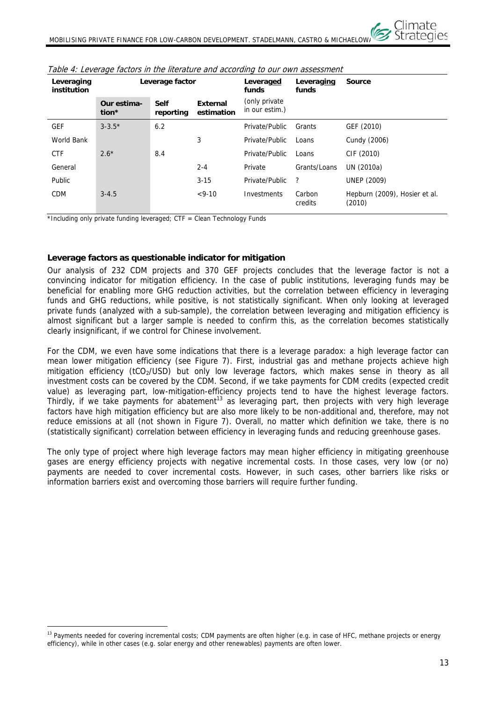

| Leveraging<br>institution | Leverage factor      |                          |                               | Leveraged<br>funds               | Leveraging<br>funds | <b>Source</b>                           |
|---------------------------|----------------------|--------------------------|-------------------------------|----------------------------------|---------------------|-----------------------------------------|
|                           | Our estima-<br>tion* | <b>Self</b><br>reporting | <b>External</b><br>estimation | (only private)<br>in our estim.) |                     |                                         |
| <b>GEF</b>                | $3 - 3.5*$           | 6.2                      |                               | Private/Public                   | Grants              | GEF (2010)                              |
| World Bank                |                      |                          | 3                             | Private/Public                   | Loans               | Cundy (2006)                            |
| <b>CTF</b>                | $2.6*$               | 8.4                      |                               | Private/Public                   | Loans               | CIF (2010)                              |
| General                   |                      |                          | $2 - 4$                       | Private                          | Grants/Loans        | UN (2010a)                              |
| <b>Public</b>             |                      |                          | $3 - 15$                      | Private/Public                   | ?                   | <b>UNEP (2009)</b>                      |
| <b>CDM</b>                | $3 - 4.5$            |                          | $< 9 - 10$                    | Investments                      | Carbon<br>credits   | Hepburn (2009), Hosier et al.<br>(2010) |

Table 4: Leverage factors in the literature and according to our own assessment

\*Including only private funding leveraged;  $CTF = Clean$  Technology Funds

 $\overline{a}$ 

#### **Leverage factors as questionable indicator for mitigation**

Our analysis of 232 CDM projects and 370 GEF projects concludes that the leverage factor is not a convincing indicator for mitigation efficiency. In the case of public institutions, leveraging funds may be beneficial for enabling more GHG reduction activities, but the correlation between efficiency in leveraging funds and GHG reductions, while positive, is not statistically significant. When only looking at leveraged private funds (analyzed with a sub-sample), the correlation between leveraging and mitigation efficiency is almost significant but a larger sample is needed to confirm this, as the correlation becomes statistically clearly insignificant, if we control for Chinese involvement.

For the CDM, we even have some indications that there is a leverage paradox: a high leverage factor can mean lower mitigation efficiency (see Figure 7). First, industrial gas and methane projects achieve high mitigation efficiency (tCO<sub>2</sub>/USD) but only low leverage factors, which makes sense in theory as all investment costs can be covered by the CDM. Second, if we take payments for CDM credits (expected credit value) as leveraging part, low-mitigation-efficiency projects tend to have the highest leverage factors. Thirdly, if we take payments for abatement<sup>13</sup> as leveraging part, then projects with very high leverage factors have high mitigation efficiency but are also more likely to be non-additional and, therefore, may not reduce emissions at all (not shown in Figure 7). Overall, no matter which definition we take, there is no (statistically significant) correlation between efficiency in leveraging funds and reducing greenhouse gases.

The only type of project where high leverage factors may mean higher efficiency in mitigating greenhouse gases are energy efficiency projects with negative incremental costs. In those cases, very low (or no) payments are needed to cover incremental costs. However, in such cases, other barriers like risks or information barriers exist and overcoming those barriers will require further funding.

<sup>&</sup>lt;sup>13</sup> Payments needed for covering incremental costs; CDM payments are often higher (e.g. in case of HFC, methane projects or energy efficiency), while in other cases (e.g. solar energy and other renewables) payments are often lower.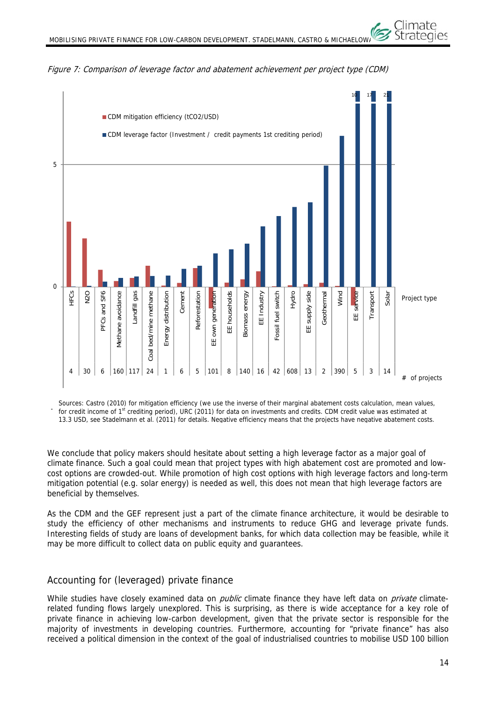

Figure 7: Comparison of leverage factor and abatement achievement per project type (CDM)

-5 Sources: Castro (2010) for mitigation efficiency (we use the inverse of their marginal abatement costs calculation, mean values, for credit income of 1<sup>st</sup> crediting period), URC (2011) for data on investments and credits. CDM credit value was estimated at 13.3 USD, see Stadelmann et al. (2011) for details. Negative efficiency means that the projects have negative abatement costs.

We conclude that policy makers should hesitate about setting a high leverage factor as a major goal of climate finance. Such a goal could mean that project types with high abatement cost are promoted and lowcost options are crowded-out. While promotion of high cost options with high leverage factors and long-term mitigation potential (e.g. solar energy) is needed as well, this does not mean that high leverage factors are beneficial by themselves.

As the CDM and the GEF represent just a part of the climate finance architecture, it would be desirable to study the efficiency of other mechanisms and instruments to reduce GHG and leverage private funds. Interesting fields of study are loans of development banks, for which data collection may be feasible, while it may be more difficult to collect data on public equity and quarantees.

# Accounting for (leveraged) private finance

While studies have closely examined data on *public* climate finance they have left data on *private* climaterelated funding flows largely unexplored. This is surprising, as there is wide acceptance for a key role of private finance in achieving low-carbon development, given that the private sector is responsible for the majority of investments in developing countries. Furthermore, accounting for "private finance" has also received a political dimension in the context of the goal of industrialised countries to mobilise USD 100 billion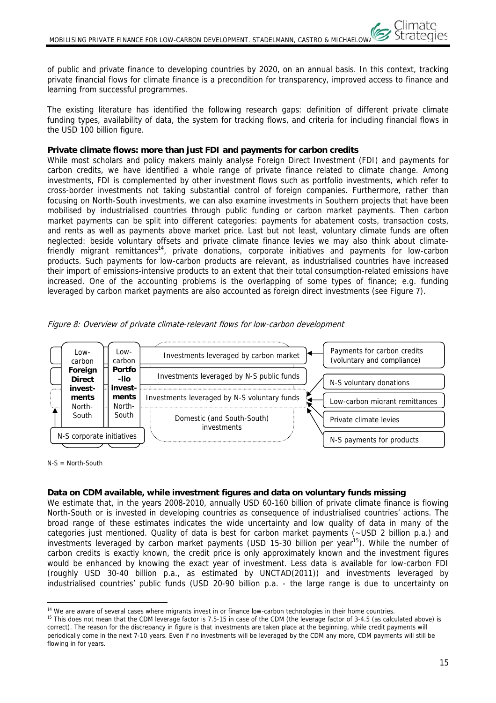of public and private finance to developing countries by 2020, on an annual basis. In this context, tracking private financial flows for climate finance is a precondition for transparency, improved access to finance and learning from successful programmes.

The existing literature has identified the following research gaps: definition of different private climate funding types, availability of data, the system for tracking flows, and criteria for including financial flows in the USD 100 billion figure.

#### **Private climate flows: more than just FDI and payments for carbon credits**

While most scholars and policy makers mainly analyse Foreign Direct Investment (FDI) and payments for carbon credits, we have identified a whole range of private finance related to climate change. Among investments, FDI is complemented by other investment flows such as portfolio investments, which refer to cross-border investments not taking substantial control of foreign companies. Furthermore, rather than focusing on North-South investments, we can also examine investments in Southern projects that have been mobilised by industrialised countries through public funding or carbon market payments. Then carbon market payments can be split into different categories: payments for abatement costs, transaction costs, and rents as well as payments above market price. Last but not least, voluntary climate funds are often neglected: beside voluntary offsets and private climate finance levies we may also think about climatefriendly migrant remittances<sup>14</sup>, private donations, corporate initiatives and payments for low-carbon products. Such payments for low-carbon products are relevant, as industrialised countries have increased their import of emissions-intensive products to an extent that their total consumption-related emissions have increased. One of the accounting problems is the overlapping of some types of finance; e.g. funding leveraged by carbon market payments are also accounted as foreign direct investments (see Figure 7).

Figure 8: Overview of private climate-relevant flows for low-carbon development



 $N-S = North-South$ 

# **Data on CDM available, while investment figures and data on voluntary funds missing**

We estimate that, in the years 2008-2010, annually USD 60-160 billion of private climate finance is flowing North-South or is invested in developing countries as consequence of industrialised countries' actions. The broad range of these estimates indicates the wide uncertainty and low quality of data in many of the categories just mentioned. Quality of data is best for carbon market payments (~USD 2 billion p.a.) and investments leveraged by carbon market payments (USD 15-30 billion per year<sup>15</sup>). While the number of carbon credits is exactly known, the credit price is only approximately known and the investment figures would be enhanced by knowing the exact year of investment. Less data is available for low-carbon FDI (roughly USD 30-40 billion p.a., as estimated by UNCTAD(2011)) and investments leveraged by industrialised countries' public funds (USD 20-90 billion p.a. - the large range is due to uncertainty on

Climate

 $\overline{a}$ <sup>14</sup> We are aware of several cases where migrants invest in or finance low-carbon technologies in their home countries.<br><sup>15</sup> This does not mean that the CDM leverage factor is 7.5-15 in case of the CDM (the leverage facto

correct). The reason for the discrepancy in figure is that investments are taken place at the beginning, while credit payments will periodically come in the next 7-10 years. Even if no investments will be leveraged by the CDM any more, CDM payments will still be flowing in for years.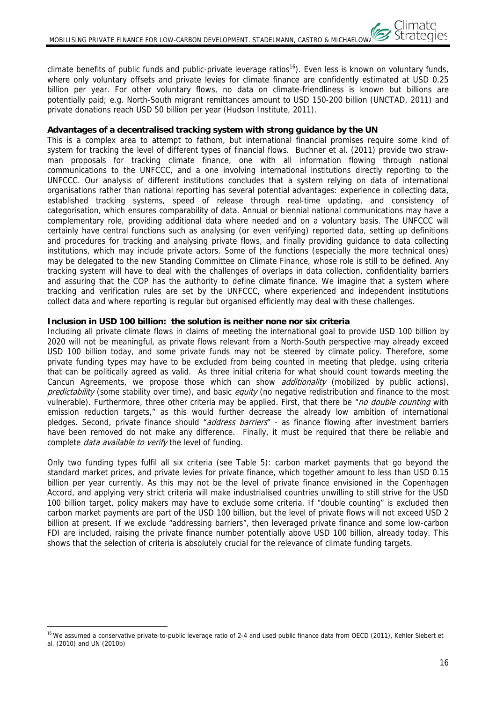climate benefits of public funds and public-private leverage ratios<sup>16</sup>). Even less is known on voluntary funds, where only voluntary offsets and private levies for climate finance are confidently estimated at USD 0.25 billion per year. For other voluntary flows, no data on climate-friendliness is known but billions are potentially paid; e.g. North-South migrant remittances amount to USD 150-200 billion (UNCTAD, 2011) and private donations reach USD 50 billion per year (Hudson Institute, 2011).

### **Advantages of a decentralised tracking system with strong guidance by the UN**

This is a complex area to attempt to fathom, but international financial promises require some kind of system for tracking the level of different types of financial flows. Buchner et al. (2011) provide two strawman proposals for tracking climate finance, one with all information flowing through national communications to the UNFCCC, and a one involving international institutions directly reporting to the UNFCCC. Our analysis of different institutions concludes that a system relying on data of international organisations rather than national reporting has several potential advantages: experience in collecting data, established tracking systems, speed of release through real-time updating, and consistency of categorisation, which ensures comparability of data. Annual or biennial national communications may have a complementary role, providing additional data where needed and on a voluntary basis. The UNFCCC will certainly have central functions such as analysing (or even verifying) reported data, setting up definitions and procedures for tracking and analysing private flows, and finally providing guidance to data collecting institutions, which may include private actors. Some of the functions (especially the more technical ones) may be delegated to the new Standing Committee on Climate Finance, whose role is still to be defined. Any tracking system will have to deal with the challenges of overlaps in data collection, confidentiality barriers and assuring that the COP has the authority to define climate finance. We imagine that a system where tracking and verification rules are set by the UNFCCC, where experienced and independent institutions collect data and where reporting is regular but organised efficiently may deal with these challenges.

#### **Inclusion in USD 100 billion: the solution is neither none nor six criteria**

Including all private climate flows in claims of meeting the international goal to provide USD 100 billion by 2020 will not be meaningful, as private flows relevant from a North-South perspective may already exceed USD 100 billion today, and some private funds may not be steered by climate policy. Therefore, some private funding types may have to be excluded from being counted in meeting that pledge, using criteria that can be politically agreed as valid. As three initial criteria for what should count towards meeting the Cancun Agreements, we propose those which can show *additionality* (mobilized by public actions), predictability (some stability over time), and basic equity (no negative redistribution and finance to the most vulnerable). Furthermore, three other criteria may be applied. First, that there be "no double counting with emission reduction targets," as this would further decrease the already low ambition of international pledges. Second, private finance should "address barriers" - as finance flowing after investment barriers have been removed do not make any difference. Finally, it must be required that there be reliable and complete *data available to verify* the level of funding.

Only two funding types fulfil all six criteria (see Table 5): carbon market payments that go beyond the standard market prices, and private levies for private finance, which together amount to less than USD 0.15 billion per year currently. As this may not be the level of private finance envisioned in the Copenhagen Accord, and applying very strict criteria will make industrialised countries unwilling to still strive for the USD 100 billion target, policy makers may have to exclude some criteria. If "double counting" is excluded then carbon market payments are part of the USD 100 billion, but the level of private flows will not exceed USD 2 billion at present. If we exclude "addressing barriers", then leveraged private finance and some low-carbon FDI are included, raising the private finance number potentially above USD 100 billion, already today. This shows that the selection of criteria is absolutely crucial for the relevance of climate funding targets.

 $\overline{a}$ 

<sup>&</sup>lt;sup>16</sup> We assumed a conservative private-to-public leverage ratio of 2-4 and used public finance data from OECD (2011), Kehler Siebert et al. (2010) and UN (2010b)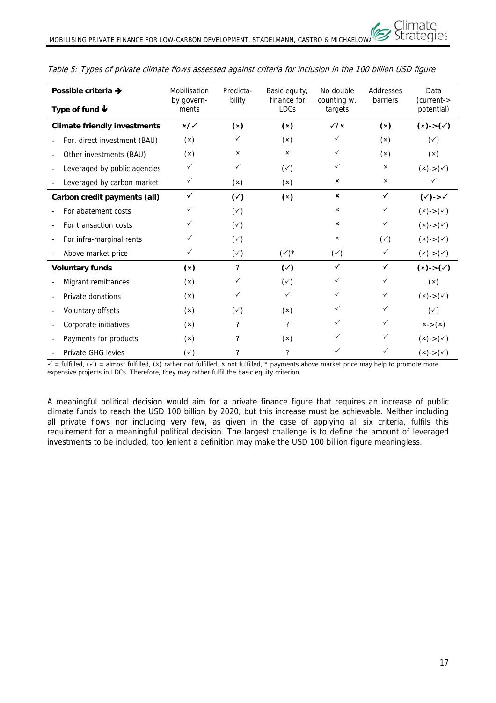| Possible criteria →          |                                     | Mobilisation        | Predicta-      | Basic equity;<br>finance for | No double              | Addresses<br>barriers     | Data<br>(current->             |
|------------------------------|-------------------------------------|---------------------|----------------|------------------------------|------------------------|---------------------------|--------------------------------|
| Type of fund $\blacklozenge$ |                                     | by govern-<br>ments | bility         | <b>LDCs</b>                  | counting w.<br>targets |                           | potential)                     |
|                              | <b>Climate friendly investments</b> | $x/\sqrt{2}$        | (x)            | (x)                          | $\sqrt{x}$             | (x)                       | $(x)->(\checkmark)$            |
|                              | For. direct investment (BAU)        | (x)                 | $\checkmark$   | (x)                          | ✓                      | (x)                       | $(\check{ }')$                 |
|                              | Other investments (BAU)             | (x)                 | ×              | $\boldsymbol{\mathsf{x}}$    | $\checkmark$           | (x)                       | (x)                            |
|                              | Leveraged by public agencies        | $\checkmark$        | $\checkmark$   | $(\check{y})$                | $\checkmark$           | $\pmb{\times}$            | $(x)->(\checkmark)$            |
|                              | Leveraged by carbon market          | $\checkmark$        | (x)            | (x)                          | ×                      | $\boldsymbol{\mathsf{x}}$ | $\checkmark$                   |
|                              | Carbon credit payments (all)        | $\checkmark$        | $(\checkmark)$ | (x)                          | $\pmb{\times}$         | $\checkmark$              | $(\checkmark)$ -> $\checkmark$ |
|                              | For abatement costs                 | ✓                   | $(\check{ }')$ |                              | ×                      | $\checkmark$              | $(x)->(\checkmark)$            |
|                              | For transaction costs               | $\checkmark$        | $(\check{ }')$ |                              | ×                      | $\checkmark$              | $(x)->(\checkmark)$            |
|                              | For infra-marginal rents            | $\checkmark$        | $(\check{ }')$ |                              | ×                      | $(\check{ }')$            | $(x)->(\checkmark)$            |
|                              | Above market price                  | $\checkmark$        | $(\check{y})$  | $(\checkmark)^*$             | $(\check{ }')$         | $\checkmark$              | $(x)->(\checkmark)$            |
|                              | <b>Voluntary funds</b>              | (x)                 | ?              | $(\check{c})$                | $\checkmark$           | $\checkmark$              | $(x)->(\checkmark)$            |
|                              | Migrant remittances                 | (x)                 | $\checkmark$   | $(\check{ }')$               | ✓                      | $\checkmark$              | (x)                            |
|                              | Private donations                   | (x)                 | $\checkmark$   | $\checkmark$                 | $\checkmark$           | $\checkmark$              | $(x)->(\checkmark)$            |
|                              | Voluntary offsets                   | (x)                 | $(\check{ }')$ | (x)                          | $\checkmark$           | $\checkmark$              | $(\check{ }')$                 |
|                              | Corporate initiatives               | (x)                 | ?              | $\overline{\phantom{a}}$     | ✓                      | ✓                         | $x ->(x)$                      |
|                              | Payments for products               | (x)                 | ?              | (x)                          | ✓                      | $\checkmark$              | $(x)->(\checkmark)$            |
|                              | Private GHG levies                  | $(\check{ }')$      | ?              | ?                            | ✓                      | $\checkmark$              | $(x)->(\checkmark)$            |

### Table 5: Types of private climate flows assessed against criteria for inclusion in the 100 billion USD figure

 $\overline{\checkmark}$  = fulfilled,  $(\checkmark)$  = almost fulfilled, (x) rather not fulfilled, x not fulfilled, \* payments above market price may help to promote more expensive projects in LDCs. Therefore, they may rather fulfil the basic equity criterion.

A meaningful political decision would aim for a private finance figure that requires an increase of public climate funds to reach the USD 100 billion by 2020, but this increase must be achievable. Neither including all private flows nor including very few, as given in the case of applying all six criteria, fulfils this requirement for a meaningful political decision. The largest challenge is to define the amount of leveraged investments to be included; too lenient a definition may make the USD 100 billion figure meaningless.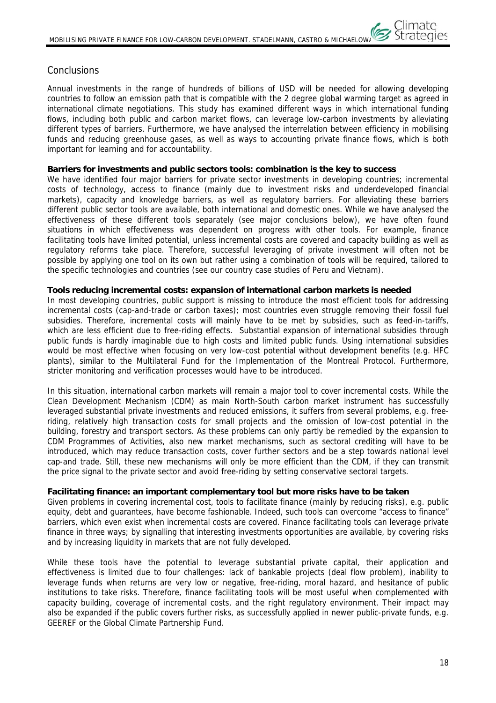# Conclusions

Annual investments in the range of hundreds of billions of USD will be needed for allowing developing countries to follow an emission path that is compatible with the 2 degree global warming target as agreed in international climate negotiations. This study has examined different ways in which international funding flows, including both public and carbon market flows, can leverage low-carbon investments by alleviating different types of barriers. Furthermore, we have analysed the interrelation between efficiency in mobilising funds and reducing greenhouse gases, as well as ways to accounting private finance flows, which is both important for learning and for accountability.

#### **Barriers for investments and public sectors tools: combination is the key to success**

We have identified four major barriers for private sector investments in developing countries; incremental costs of technology, access to finance (mainly due to investment risks and underdeveloped financial markets), capacity and knowledge barriers, as well as regulatory barriers. For alleviating these barriers different public sector tools are available, both international and domestic ones. While we have analysed the effectiveness of these different tools separately (see major conclusions below), we have often found situations in which effectiveness was dependent on progress with other tools. For example, finance facilitating tools have limited potential, unless incremental costs are covered and capacity building as well as regulatory reforms take place. Therefore, successful leveraging of private investment will often not be possible by applying one tool on its own but rather using a combination of tools will be required, tailored to the specific technologies and countries (see our country case studies of Peru and Vietnam).

#### **Tools reducing incremental costs: expansion of international carbon markets is needed**

In most developing countries, public support is missing to introduce the most efficient tools for addressing incremental costs (cap-and-trade or carbon taxes); most countries even struggle removing their fossil fuel subsidies. Therefore, incremental costs will mainly have to be met by subsidies, such as feed-in-tariffs, which are less efficient due to free-riding effects. Substantial expansion of international subsidies through public funds is hardly imaginable due to high costs and limited public funds. Using international subsidies would be most effective when focusing on very low-cost potential without development benefits (e.g. HFC plants), similar to the Multilateral Fund for the Implementation of the Montreal Protocol. Furthermore, stricter monitoring and verification processes would have to be introduced.

In this situation, international carbon markets will remain a major tool to cover incremental costs. While the Clean Development Mechanism (CDM) as main North-South carbon market instrument has successfully leveraged substantial private investments and reduced emissions, it suffers from several problems, e.g. freeriding, relatively high transaction costs for small projects and the omission of low-cost potential in the building, forestry and transport sectors. As these problems can only partly be remedied by the expansion to CDM Programmes of Activities, also new market mechanisms, such as sectoral crediting will have to be introduced, which may reduce transaction costs, cover further sectors and be a step towards national level cap-and trade. Still, these new mechanisms will only be more efficient than the CDM, if they can transmit the price signal to the private sector and avoid free-riding by setting conservative sectoral targets.

#### **Facilitating finance: an important complementary tool but more risks have to be taken**

Given problems in covering incremental cost, tools to facilitate finance (mainly by reducing risks), e.g. public equity, debt and guarantees, have become fashionable. Indeed, such tools can overcome "access to finance" barriers, which even exist when incremental costs are covered. Finance facilitating tools can leverage private finance in three ways; by signalling that interesting investments opportunities are available, by covering risks and by increasing liquidity in markets that are not fully developed.

While these tools have the potential to leverage substantial private capital, their application and effectiveness is limited due to four challenges: lack of bankable projects (deal flow problem), inability to leverage funds when returns are very low or negative, free-riding, moral hazard, and hesitance of public institutions to take risks. Therefore, finance facilitating tools will be most useful when complemented with capacity building, coverage of incremental costs, and the right regulatory environment. Their impact may also be expanded if the public covers further risks, as successfully applied in newer public-private funds, e.g. GEEREF or the Global Climate Partnership Fund.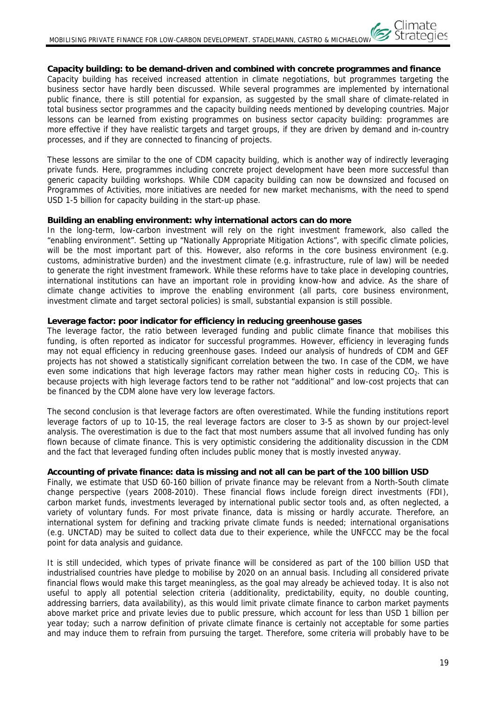### **Capacity building: to be demand-driven and combined with concrete programmes and finance**

Capacity building has received increased attention in climate negotiations, but programmes targeting the business sector have hardly been discussed. While several programmes are implemented by international public finance, there is still potential for expansion, as suggested by the small share of climate-related in total business sector programmes and the capacity building needs mentioned by developing countries. Major lessons can be learned from existing programmes on business sector capacity building: programmes are more effective if they have realistic targets and target groups, if they are driven by demand and in-country processes, and if they are connected to financing of projects.

These lessons are similar to the one of CDM capacity building, which is another way of indirectly leveraging private funds. Here, programmes including concrete project development have been more successful than generic capacity building workshops. While CDM capacity building can now be downsized and focused on Programmes of Activities, more initiatives are needed for new market mechanisms, with the need to spend USD 1-5 billion for capacity building in the start-up phase.

#### **Building an enabling environment: why international actors can do more**

In the long-term, low-carbon investment will rely on the right investment framework, also called the "enabling environment". Setting up "Nationally Appropriate Mitigation Actions", with specific climate policies, will be the most important part of this. However, also reforms in the core business environment (e.g. customs, administrative burden) and the investment climate (e.g. infrastructure, rule of law) will be needed to generate the right investment framework. While these reforms have to take place in developing countries, international institutions can have an important role in providing know-how and advice. As the share of climate change activities to improve the enabling environment (all parts, core business environment, investment climate and target sectoral policies) is small, substantial expansion is still possible.

#### **Leverage factor: poor indicator for efficiency in reducing greenhouse gases**

The leverage factor, the ratio between leveraged funding and public climate finance that mobilises this funding, is often reported as indicator for successful programmes. However, efficiency in leveraging funds may not equal efficiency in reducing greenhouse gases. Indeed our analysis of hundreds of CDM and GEF projects has not showed a statistically significant correlation between the two. In case of the CDM, we have even some indications that high leverage factors may rather mean higher costs in reducing  $CO<sub>2</sub>$ . This is because projects with high leverage factors tend to be rather not "additional" and low-cost projects that can be financed by the CDM alone have very low leverage factors.

The second conclusion is that leverage factors are often overestimated. While the funding institutions report leverage factors of up to 10-15, the real leverage factors are closer to 3-5 as shown by our project-level analysis. The overestimation is due to the fact that most numbers assume that all involved funding has only flown because of climate finance. This is very optimistic considering the additionality discussion in the CDM and the fact that leveraged funding often includes public money that is mostly invested anyway.

#### **Accounting of private finance: data is missing and not all can be part of the 100 billion USD**

Finally, we estimate that USD 60-160 billion of private finance may be relevant from a North-South climate change perspective (years 2008-2010). These financial flows include foreign direct investments (FDI), carbon market funds, investments leveraged by international public sector tools and, as often neglected, a variety of voluntary funds. For most private finance, data is missing or hardly accurate. Therefore, an international system for defining and tracking private climate funds is needed; international organisations (e.g. UNCTAD) may be suited to collect data due to their experience, while the UNFCCC may be the focal point for data analysis and guidance.

It is still undecided, which types of private finance will be considered as part of the 100 billion USD that industrialised countries have pledge to mobilise by 2020 on an annual basis. Including all considered private financial flows would make this target meaningless, as the goal may already be achieved today. It is also not useful to apply all potential selection criteria (additionality, predictability, equity, no double counting, addressing barriers, data availability), as this would limit private climate finance to carbon market payments above market price and private levies due to public pressure, which account for less than USD 1 billion per year today; such a narrow definition of private climate finance is certainly not acceptable for some parties and may induce them to refrain from pursuing the target. Therefore, some criteria will probably have to be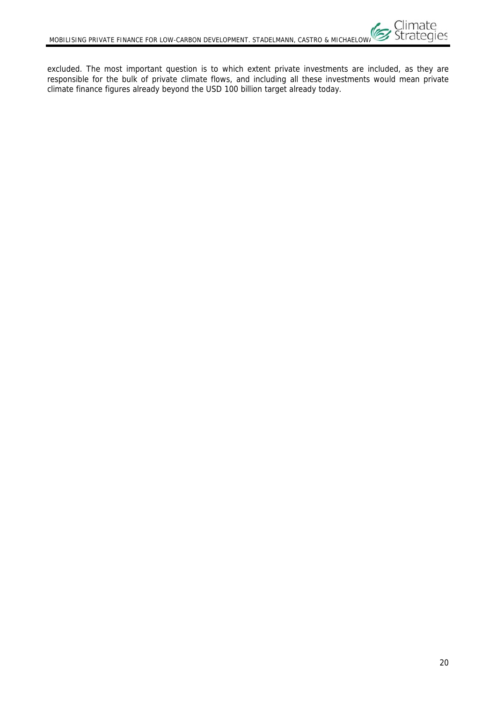excluded. The most important question is to which extent private investments are included, as they are responsible for the bulk of private climate flows, and including all these investments would mean private climate finance figures already beyond the USD 100 billion target already today.

Climate<br>Strategies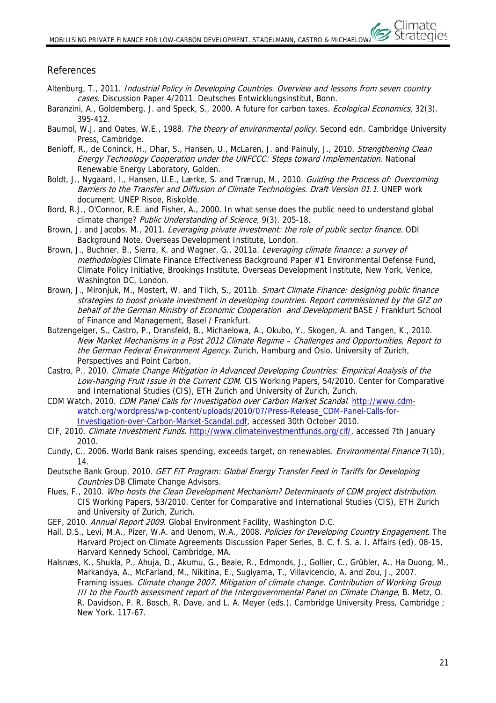# References

- Altenburg, T., 2011. *Industrial Policy in Developing Countries. Overview and lessons from seven country* cases. Discussion Paper 4/2011. Deutsches Entwicklungsinstitut, Bonn.
- Baranzini, A., Goldemberg, J. and Speck, S., 2000. A future for carbon taxes. *Ecological Economics*, 32(3). 395-412.
- Baumol, W.J. and Oates, W.E., 1988. The theory of environmental policy. Second edn. Cambridge University Press, Cambridge.
- Benioff, R., de Coninck, H., Dhar, S., Hansen, U., McLaren, J. and Painuly, J., 2010. Strengthening Clean Energy Technology Cooperation under the UNFCCC: Steps toward Implementation. National Renewable Energy Laboratory, Golden.
- Boldt, J., Nygaard, I., Hansen, U.E., Lærke, S. and Trærup, M., 2010. Guiding the Process of: Overcoming Barriers to the Transfer and Diffusion of Climate Technologies. Draft Version 01.1. UNEP work document. UNEP Risoe, Riskolde.
- Bord, R.J., O'Connor, R.E. and Fisher, A., 2000. In what sense does the public need to understand global climate change? Public Understanding of Science, 9(3). 205-18.
- Brown, J. and Jacobs, M., 2011. Leveraging private investment: the role of public sector finance. ODI Background Note. Overseas Development Institute, London.
- Brown, J., Buchner, B., Sierra, K. and Wagner, G., 2011a. Leveraging climate finance: a survey of methodologies Climate Finance Effectiveness Background Paper #1 Environmental Defense Fund, Climate Policy Initiative, Brookings Institute, Overseas Development Institute, New York, Venice, Washington DC, London.
- Brown, J., Mironiuk, M., Mostert, W. and Tilch, S., 2011b. Smart Climate Finance: designing public finance strategies to boost private investment in developing countries. Report commissioned by the GIZ on behalf of the German Ministry of Economic Cooperation and Development BASE / Frankfurt School of Finance and Management, Basel / Frankfurt.
- Butzengeiger, S., Castro, P., Dransfeld, B., Michaelowa, A., Okubo, Y., Skogen, A. and Tangen, K., 2010. New Market Mechanisms in a Post 2012 Climate Regime – Challenges and Opportunities, Report to the German Federal Environment Agency. Zurich, Hamburg and Oslo. University of Zurich, Perspectives and Point Carbon.
- Castro, P., 2010. Climate Change Mitigation in Advanced Developing Countries: Empirical Analysis of the Low-hanging Fruit Issue in the Current CDM. CIS Working Papers, 54/2010. Center for Comparative and International Studies (CIS), ETH Zurich and University of Zurich, Zurich.
- CDM Watch, 2010. CDM Panel Calls for Investigation over Carbon Market Scandal. http://www.cdmwatch.org/wordpress/wp-content/uploads/2010/07/Press-Release\_CDM-Panel-Calls-for-Investigation-over-Carbon-Market-Scandal.pdf, accessed 30th October 2010.
- CIF, 2010. Climate Investment Funds. http://www.climateinvestmentfunds.org/cif/, accessed 7th January 2010.
- Cundy, C., 2006. World Bank raises spending, exceeds target, on renewables. *Environmental Finance* 7(10), 14.
- Deutsche Bank Group, 2010. GET FIT Program: Global Energy Transfer Feed in Tariffs for Developing Countries DB Climate Change Advisors.
- Flues, F., 2010. Who hosts the Clean Development Mechanism? Determinants of CDM project distribution. CIS Working Papers, 53/2010. Center for Comparative and International Studies (CIS), ETH Zurich and University of Zurich, Zurich.
- GEF, 2010. Annual Report 2009. Global Environment Facility, Washington D.C.
- Hall, D.S., Levi, M.A., Pizer, W.A. and Uenom, W.A., 2008. Policies for Developing Country Engagement. The Harvard Project on Climate Agreements Discussion Paper Series, B. C. f. S. a. I. Affairs (ed). 08-15, Harvard Kennedy School, Cambridge, MA.
- Halsnæs, K., Shukla, P., Ahuja, D., Akumu, G., Beale, R., Edmonds, J., Gollier, C., Grübler, A., Ha Duong, M., Markandya, A., McFarland, M., Nikitina, E., Sugiyama, T., Villavicencio, A. and Zou, J., 2007. Framing issues. Climate change 2007. Mitigation of climate change. Contribution of Working Group III to the Fourth assessment report of the Intergovernmental Panel on Climate Change, B. Metz, O. R. Davidson, P. R. Bosch, R. Dave, and L. A. Meyer (eds.). Cambridge University Press, Cambridge ; New York. 117-67.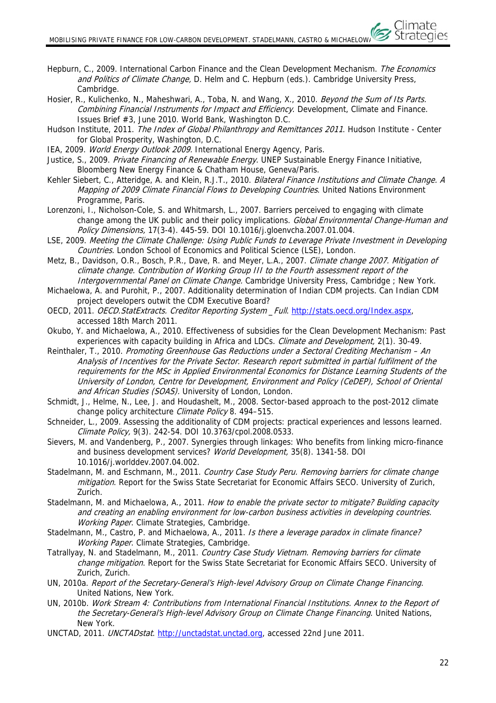- Hepburn, C., 2009. International Carbon Finance and the Clean Development Mechanism. The Economics and Politics of Climate Change, D. Helm and C. Hepburn (eds.). Cambridge University Press, Cambridge.
- Hosier, R., Kulichenko, N., Maheshwari, A., Toba, N. and Wang, X., 2010. Beyond the Sum of Its Parts. Combining Financial Instruments for Impact and Efficiency. Development, Climate and Finance. Issues Brief #3, June 2010. World Bank, Washington D.C.
- Hudson Institute, 2011. The Index of Global Philanthropy and Remittances 2011. Hudson Institute Center for Global Prosperity, Washington, D.C.
- IEA, 2009. World Energy Outlook 2009. International Energy Agency, Paris.
- Justice, S., 2009. Private Financing of Renewable Energy. UNEP Sustainable Energy Finance Initiative, Bloomberg New Energy Finance & Chatham House, Geneva/Paris.
- Kehler Siebert, C., Atteridge, A. and Klein, R.J.T., 2010. Bilateral Finance Institutions and Climate Change. A Mapping of 2009 Climate Financial Flows to Developing Countries. United Nations Environment Programme, Paris.
- Lorenzoni, I., Nicholson-Cole, S. and Whitmarsh, L., 2007. Barriers perceived to engaging with climate change among the UK public and their policy implications. Global Environmental Change-Human and Policy Dimensions, 17(3-4). 445-59. DOI 10.1016/j.gloenvcha.2007.01.004.
- LSE, 2009. Meeting the Climate Challenge: Using Public Funds to Leverage Private Investment in Developing Countries. London School of Economics and Political Science (LSE), London.
- Metz, B., Davidson, O.R., Bosch, P.R., Dave, R. and Meyer, L.A., 2007. Climate change 2007. Mitigation of climate change. Contribution of Working Group III to the Fourth assessment report of the Intergovernmental Panel on Climate Change. Cambridge University Press, Cambridge ; New York.
- Michaelowa, A. and Purohit, P., 2007. Additionality determination of Indian CDM projects. Can Indian CDM project developers outwit the CDM Executive Board?
- OECD, 2011. OECD.StatExtracts. Creditor Reporting System \_Full. http://stats.oecd.org/Index.aspx, accessed 18th March 2011.
- Okubo, Y. and Michaelowa, A., 2010. Effectiveness of subsidies for the Clean Development Mechanism: Past experiences with capacity building in Africa and LDCs. Climate and Development, 2(1). 30-49.
- Reinthaler, T., 2010. Promoting Greenhouse Gas Reductions under a Sectoral Crediting Mechanism An Analysis of Incentives for the Private Sector. Research report submitted in partial fulfilment of the requirements for the MSc in Applied Environmental Economics for Distance Learning Students of the University of London, Centre for Development, Environment and Policy (CeDEP), School of Oriental and African Studies (SOAS). University of London, London.
- Schmidt, J., Helme, N., Lee, J. and Houdashelt, M., 2008. Sector-based approach to the post-2012 climate change policy architecture *Climate Policy* 8. 494-515.
- Schneider, L., 2009. Assessing the additionality of CDM projects: practical experiences and lessons learned. Climate Policy, 9(3). 242-54. DOI 10.3763/cpol.2008.0533.
- Sievers, M. and Vandenberg, P., 2007. Synergies through linkages: Who benefits from linking micro-finance and business development services? World Development, 35(8). 1341-58. DOI 10.1016/j.worlddev.2007.04.002.
- Stadelmann, M. and Eschmann, M., 2011. Country Case Study Peru. Removing barriers for climate change mitigation. Report for the Swiss State Secretariat for Economic Affairs SECO. University of Zurich, Zurich.
- Stadelmann, M. and Michaelowa, A., 2011. How to enable the private sector to mitigate? Building capacity and creating an enabling environment for low-carbon business activities in developing countries. Working Paper. Climate Strategies, Cambridge.
- Stadelmann, M., Castro, P. and Michaelowa, A., 2011. Is there a leverage paradox in climate finance? Working Paper. Climate Strategies, Cambridge.
- Tatrallyay, N. and Stadelmann, M., 2011. Country Case Study Vietnam. Removing barriers for climate change mitigation. Report for the Swiss State Secretariat for Economic Affairs SECO. University of Zurich, Zurich.
- UN, 2010a. Report of the Secretary-General's High-level Advisory Group on Climate Change Financing. United Nations, New York.
- UN, 2010b. Work Stream 4: Contributions from International Financial Institutions. Annex to the Report of the Secretary-General's High-level Advisory Group on Climate Change Financing. United Nations, New York.
- UNCTAD, 2011. UNCTADstat. http://unctadstat.unctad.org, accessed 22nd June 2011.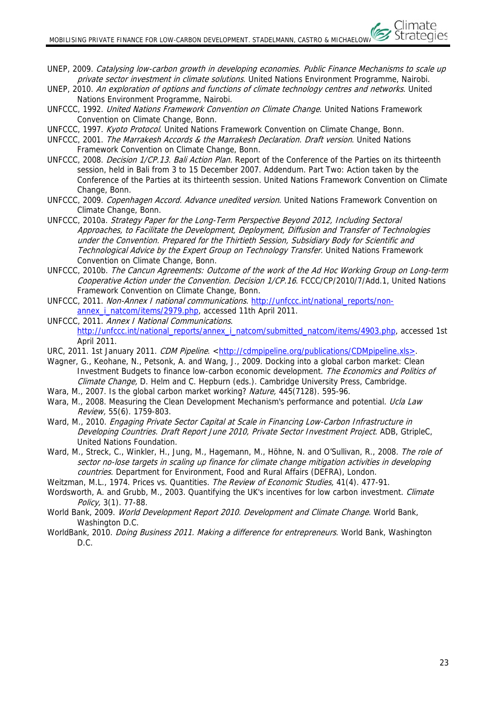- UNEP, 2009. Catalysing low-carbon growth in developing economies. Public Finance Mechanisms to scale up private sector investment in climate solutions. United Nations Environment Programme, Nairobi.
- UNEP, 2010. An exploration of options and functions of climate technology centres and networks. United Nations Environment Programme, Nairobi.
- UNFCCC, 1992. United Nations Framework Convention on Climate Change. United Nations Framework Convention on Climate Change, Bonn.
- UNFCCC, 1997. Kyoto Protocol. United Nations Framework Convention on Climate Change, Bonn.
- UNFCCC, 2001. The Marrakesh Accords & the Marrakesh Declaration. Draft version. United Nations Framework Convention on Climate Change, Bonn.
- UNFCCC, 2008. Decision 1/CP.13. Bali Action Plan. Report of the Conference of the Parties on its thirteenth session, held in Bali from 3 to 15 December 2007. Addendum. Part Two: Action taken by the Conference of the Parties at its thirteenth session. United Nations Framework Convention on Climate Change, Bonn.
- UNFCCC, 2009. Copenhagen Accord. Advance unedited version. United Nations Framework Convention on Climate Change, Bonn.
- UNFCCC, 2010a. Strategy Paper for the Long-Term Perspective Beyond 2012, Including Sectoral Approaches, to Facilitate the Development, Deployment, Diffusion and Transfer of Technologies under the Convention. Prepared for the Thirtieth Session, Subsidiary Body for Scientific and Technological Advice by the Expert Group on Technology Transfer. United Nations Framework Convention on Climate Change, Bonn.
- UNFCCC, 2010b. The Cancun Agreements: Outcome of the work of the Ad Hoc Working Group on Long-term Cooperative Action under the Convention. Decision 1/CP.16. FCCC/CP/2010/7/Add.1, United Nations Framework Convention on Climate Change, Bonn.
- UNFCCC, 2011. Non-Annex I national communications. http://unfccc.int/national\_reports/nonannex\_i\_natcom/items/2979.php, accessed 11th April 2011.
- UNFCCC, 2011. Annex I National Communications. http://unfccc.int/national\_reports/annex\_i\_natcom/submitted\_natcom/items/4903.php, accessed 1st April 2011.
- URC, 2011. 1st January 2011. CDM Pipeline. <http://cdmpipeline.org/publications/CDMpipeline.xls>.
- Wagner, G., Keohane, N., Petsonk, A. and Wang, J., 2009. Docking into a global carbon market: Clean Investment Budgets to finance low-carbon economic development. The Economics and Politics of Climate Change, D. Helm and C. Hepburn (eds.). Cambridge University Press, Cambridge.
- Wara, M., 2007. Is the global carbon market working? Nature, 445(7128). 595-96.
- Wara, M., 2008. Measuring the Clean Development Mechanism's performance and potential. Ucla Law Review, 55(6). 1759-803.
- Ward, M., 2010. Engaging Private Sector Capital at Scale in Financing Low-Carbon Infrastructure in Developing Countries. Draft Report June 2010, Private Sector Investment Project. ADB, GtripleC, United Nations Foundation.
- Ward, M., Streck, C., Winkler, H., Jung, M., Hagemann, M., Höhne, N. and O'Sullivan, R., 2008. The role of sector no-lose targets in scaling up finance for climate change mitigation activities in developing countries. Department for Environment, Food and Rural Affairs (DEFRA), London.
- Weitzman, M.L., 1974. Prices vs. Quantities. The Review of Economic Studies, 41(4). 477-91.
- Wordsworth, A. and Grubb, M., 2003. Quantifying the UK's incentives for low carbon investment. Climate Policy, 3(1). 77-88.
- World Bank, 2009. World Development Report 2010. Development and Climate Change. World Bank. Washington D.C.
- WorldBank, 2010. *Doing Business 2011. Making a difference for entrepreneurs*. World Bank, Washington D.C.